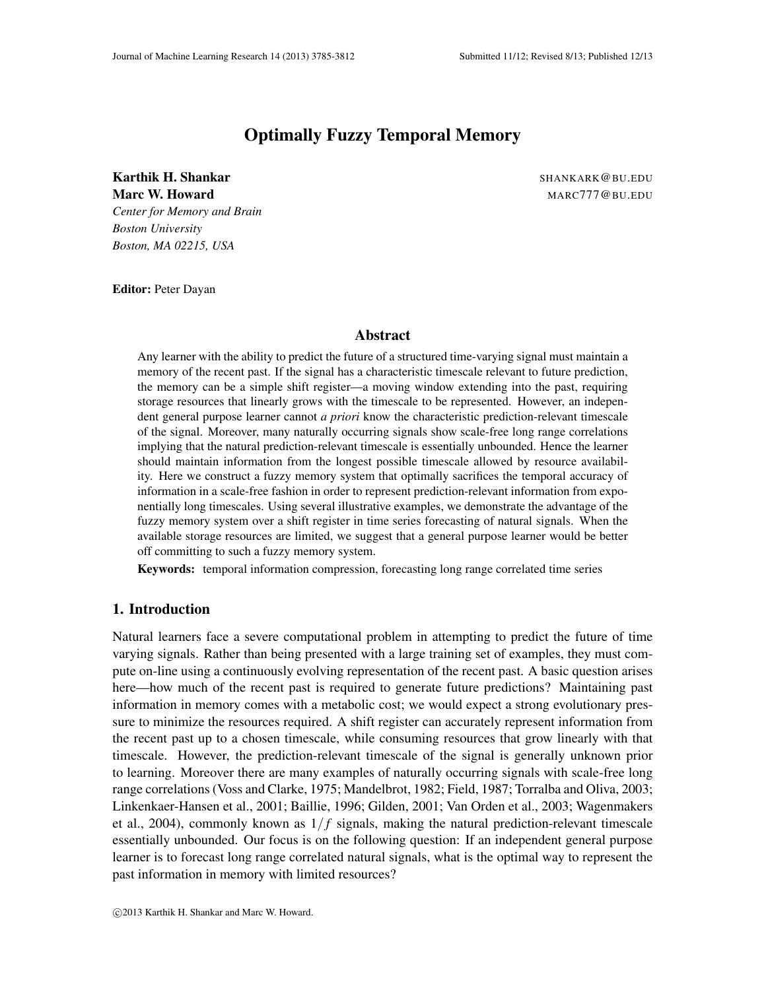# Optimally Fuzzy Temporal Memory

Karthik H. Shankar Shankar SHANKARK WASHANG BU.EDU Marc W. Howard MARC777@BU.EDU *Center for Memory and Brain Boston University Boston, MA 02215, USA*

Editor: Peter Dayan

#### Abstract

Any learner with the ability to predict the future of a structured time-varying signal must maintain a memory of the recent past. If the signal has a characteristic timescale relevant to future prediction, the memory can be a simple shift register—a moving window extending into the past, requiring storage resources that linearly grows with the timescale to be represented. However, an independent general purpose learner cannot *a priori* know the characteristic prediction-relevant timescale of the signal. Moreover, many naturally occurring signals show scale-free long range correlations implying that the natural prediction-relevant timescale is essentially unbounded. Hence the learner should maintain information from the longest possible timescale allowed by resource availability. Here we construct a fuzzy memory system that optimally sacrifices the temporal accuracy of information in a scale-free fashion in order to represent prediction-relevant information from exponentially long timescales. Using several illustrative examples, we demonstrate the advantage of the fuzzy memory system over a shift register in time series forecasting of natural signals. When the available storage resources are limited, we suggest that a general purpose learner would be better off committing to such a fuzzy memory system.

Keywords: temporal information compression, forecasting long range correlated time series

### 1. Introduction

Natural learners face a severe computational problem in attempting to predict the future of time varying signals. Rather than being presented with a large training set of examples, they must compute on-line using a continuously evolving representation of the recent past. A basic question arises here—how much of the recent past is required to generate future predictions? Maintaining past information in memory comes with a metabolic cost; we would expect a strong evolutionary pressure to minimize the resources required. A shift register can accurately represent information from the recent past up to a chosen timescale, while consuming resources that grow linearly with that timescale. However, the prediction-relevant timescale of the signal is generally unknown prior to learning. Moreover there are many examples of naturally occurring signals with scale-free long range correlations (Voss and Clarke, 1975; Mandelbrot, 1982; Field, 1987; Torralba and Oliva, 2003; Linkenkaer-Hansen et al., 2001; Baillie, 1996; Gilden, 2001; Van Orden et al., 2003; Wagenmakers et al., 2004), commonly known as  $1/f$  signals, making the natural prediction-relevant timescale essentially unbounded. Our focus is on the following question: If an independent general purpose learner is to forecast long range correlated natural signals, what is the optimal way to represent the past information in memory with limited resources?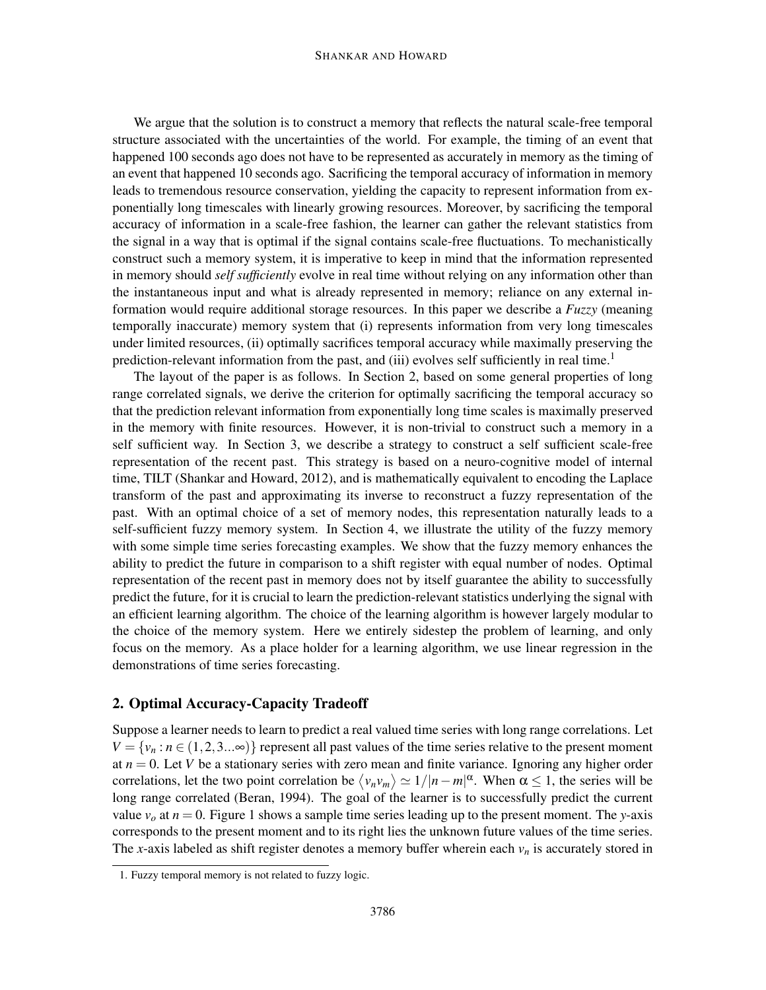#### SHANKAR AND HOWARD

We argue that the solution is to construct a memory that reflects the natural scale-free temporal structure associated with the uncertainties of the world. For example, the timing of an event that happened 100 seconds ago does not have to be represented as accurately in memory as the timing of an event that happened 10 seconds ago. Sacrificing the temporal accuracy of information in memory leads to tremendous resource conservation, yielding the capacity to represent information from exponentially long timescales with linearly growing resources. Moreover, by sacrificing the temporal accuracy of information in a scale-free fashion, the learner can gather the relevant statistics from the signal in a way that is optimal if the signal contains scale-free fluctuations. To mechanistically construct such a memory system, it is imperative to keep in mind that the information represented in memory should *self sufficiently* evolve in real time without relying on any information other than the instantaneous input and what is already represented in memory; reliance on any external information would require additional storage resources. In this paper we describe a *Fuzzy* (meaning temporally inaccurate) memory system that (i) represents information from very long timescales under limited resources, (ii) optimally sacrifices temporal accuracy while maximally preserving the prediction-relevant information from the past, and (iii) evolves self sufficiently in real time.<sup>1</sup>

The layout of the paper is as follows. In Section 2, based on some general properties of long range correlated signals, we derive the criterion for optimally sacrificing the temporal accuracy so that the prediction relevant information from exponentially long time scales is maximally preserved in the memory with finite resources. However, it is non-trivial to construct such a memory in a self sufficient way. In Section 3, we describe a strategy to construct a self sufficient scale-free representation of the recent past. This strategy is based on a neuro-cognitive model of internal time, TILT (Shankar and Howard, 2012), and is mathematically equivalent to encoding the Laplace transform of the past and approximating its inverse to reconstruct a fuzzy representation of the past. With an optimal choice of a set of memory nodes, this representation naturally leads to a self-sufficient fuzzy memory system. In Section 4, we illustrate the utility of the fuzzy memory with some simple time series forecasting examples. We show that the fuzzy memory enhances the ability to predict the future in comparison to a shift register with equal number of nodes. Optimal representation of the recent past in memory does not by itself guarantee the ability to successfully predict the future, for it is crucial to learn the prediction-relevant statistics underlying the signal with an efficient learning algorithm. The choice of the learning algorithm is however largely modular to the choice of the memory system. Here we entirely sidestep the problem of learning, and only focus on the memory. As a place holder for a learning algorithm, we use linear regression in the demonstrations of time series forecasting.

## 2. Optimal Accuracy-Capacity Tradeoff

Suppose a learner needs to learn to predict a real valued time series with long range correlations. Let  $V = \{v_n : n \in (1, 2, 3...\infty)\}\$  represent all past values of the time series relative to the present moment at  $n = 0$ . Let *V* be a stationary series with zero mean and finite variance. Ignoring any higher order correlations, let the two point correlation be  $\langle v_n v_m \rangle \simeq 1/|n-m|^\alpha$ . When  $\alpha \le 1$ , the series will be long range correlated (Beran, 1994). The goal of the learner is to successfully predict the current value  $v<sub>o</sub>$  at  $n = 0$ . Figure 1 shows a sample time series leading up to the present moment. The *y*-axis corresponds to the present moment and to its right lies the unknown future values of the time series. The *x*-axis labeled as shift register denotes a memory buffer wherein each  $v_n$  is accurately stored in

<sup>1.</sup> Fuzzy temporal memory is not related to fuzzy logic.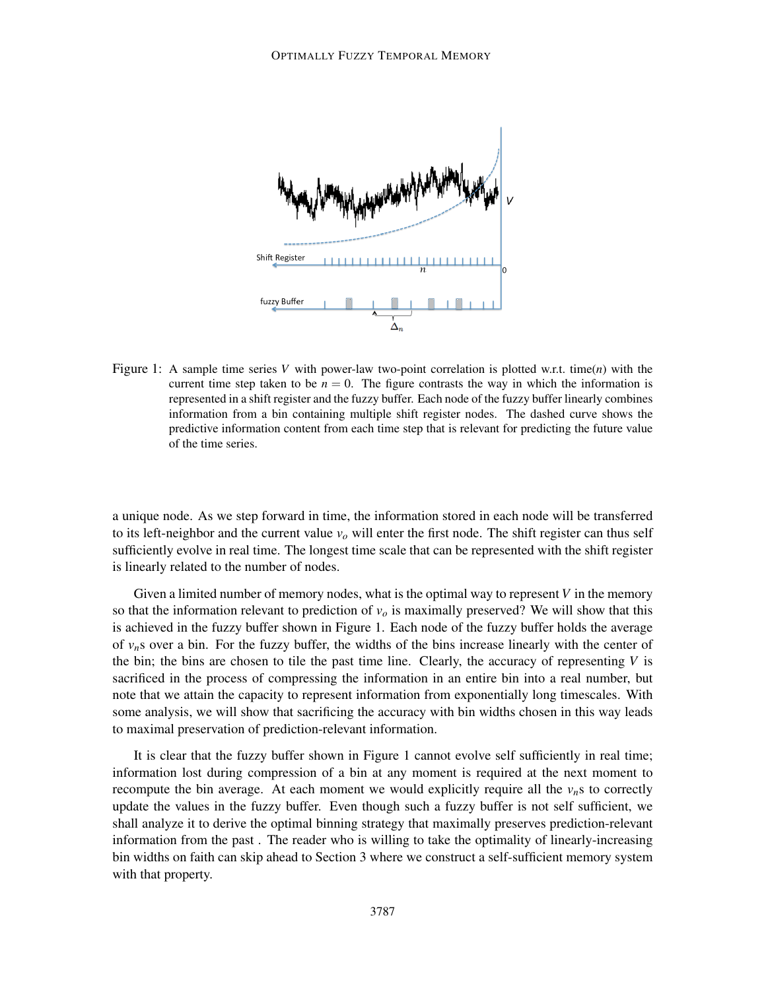

Figure 1: A sample time series *V* with power-law two-point correlation is plotted w.r.t. time(*n*) with the current time step taken to be  $n = 0$ . The figure contrasts the way in which the information is represented in a shift register and the fuzzy buffer. Each node of the fuzzy buffer linearly combines information from a bin containing multiple shift register nodes. The dashed curve shows the predictive information content from each time step that is relevant for predicting the future value of the time series.

a unique node. As we step forward in time, the information stored in each node will be transferred to its left-neighbor and the current value  $v<sub>o</sub>$  will enter the first node. The shift register can thus self sufficiently evolve in real time. The longest time scale that can be represented with the shift register is linearly related to the number of nodes.

Given a limited number of memory nodes, what is the optimal way to represent *V* in the memory so that the information relevant to prediction of  $v<sub>o</sub>$  is maximally preserved? We will show that this is achieved in the fuzzy buffer shown in Figure 1. Each node of the fuzzy buffer holds the average of  $v_n$ s over a bin. For the fuzzy buffer, the widths of the bins increase linearly with the center of the bin; the bins are chosen to tile the past time line. Clearly, the accuracy of representing  $V$  is sacrificed in the process of compressing the information in an entire bin into a real number, but note that we attain the capacity to represent information from exponentially long timescales. With some analysis, we will show that sacrificing the accuracy with bin widths chosen in this way leads to maximal preservation of prediction-relevant information.

It is clear that the fuzzy buffer shown in Figure 1 cannot evolve self sufficiently in real time; information lost during compression of a bin at any moment is required at the next moment to recompute the bin average. At each moment we would explicitly require all the  $v_n$ s to correctly update the values in the fuzzy buffer. Even though such a fuzzy buffer is not self sufficient, we shall analyze it to derive the optimal binning strategy that maximally preserves prediction-relevant information from the past . The reader who is willing to take the optimality of linearly-increasing bin widths on faith can skip ahead to Section 3 where we construct a self-sufficient memory system with that property.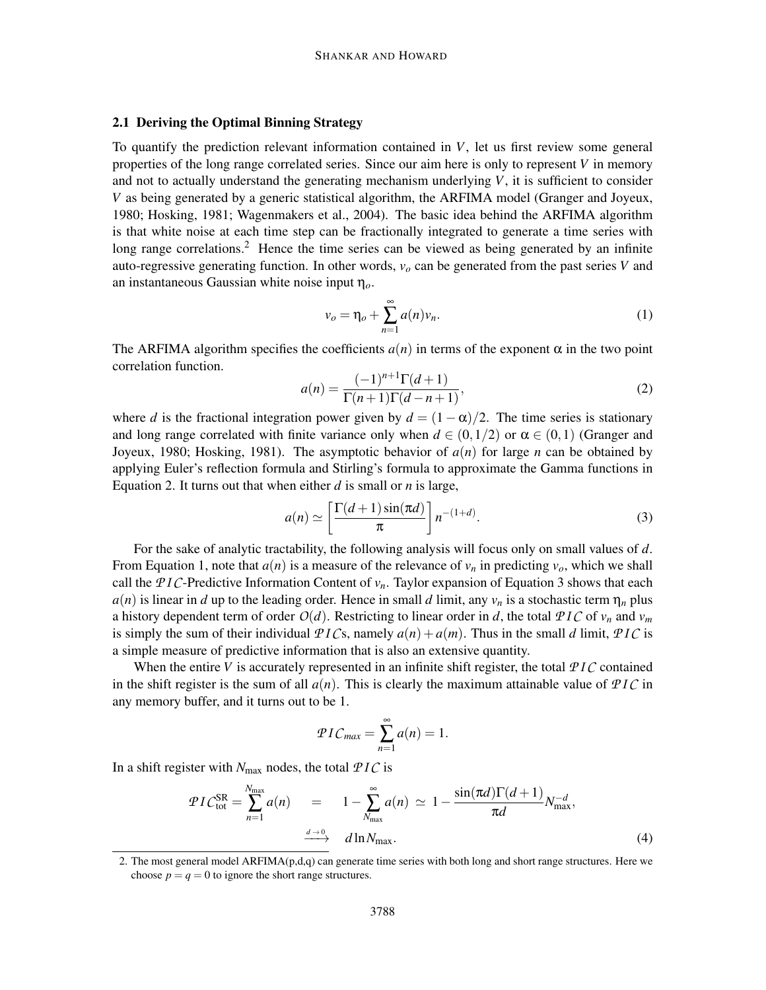#### 2.1 Deriving the Optimal Binning Strategy

To quantify the prediction relevant information contained in *V*, let us first review some general properties of the long range correlated series. Since our aim here is only to represent *V* in memory and not to actually understand the generating mechanism underlying *V*, it is sufficient to consider *V* as being generated by a generic statistical algorithm, the ARFIMA model (Granger and Joyeux, 1980; Hosking, 1981; Wagenmakers et al., 2004). The basic idea behind the ARFIMA algorithm is that white noise at each time step can be fractionally integrated to generate a time series with long range correlations.<sup>2</sup> Hence the time series can be viewed as being generated by an infinite auto-regressive generating function. In other words,  $v<sub>o</sub>$  can be generated from the past series *V* and an instantaneous Gaussian white noise input η*o*.

$$
v_o = \eta_o + \sum_{n=1}^{\infty} a(n)v_n.
$$
 (1)

The ARFIMA algorithm specifies the coefficients  $a(n)$  in terms of the exponent  $\alpha$  in the two point correlation function.

$$
a(n) = \frac{(-1)^{n+1} \Gamma(d+1)}{\Gamma(n+1) \Gamma(d-n+1)},
$$
\n(2)

where *d* is the fractional integration power given by  $d = (1 - \alpha)/2$ . The time series is stationary and long range correlated with finite variance only when  $d \in (0,1/2)$  or  $\alpha \in (0,1)$  (Granger and Joyeux, 1980; Hosking, 1981). The asymptotic behavior of *a*(*n*) for large *n* can be obtained by applying Euler's reflection formula and Stirling's formula to approximate the Gamma functions in Equation 2. It turns out that when either *d* is small or *n* is large,

$$
a(n) \simeq \left[\frac{\Gamma(d+1)\sin(\pi d)}{\pi}\right] n^{-(1+d)}.
$$
 (3)

For the sake of analytic tractability, the following analysis will focus only on small values of *d*. From Equation 1, note that  $a(n)$  is a measure of the relevance of  $v_n$  in predicting  $v_o$ , which we shall call the PIC-Predictive Information Content of  $v_n$ . Taylor expansion of Equation 3 shows that each  $a(n)$  is linear in *d* up to the leading order. Hence in small *d* limit, any  $v_n$  is a stochastic term  $\eta_n$  plus a history dependent term of order  $O(d)$ . Restricting to linear order in *d*, the total  $PIC$  of  $v_n$  and  $v_m$ is simply the sum of their individual  $PICs$ , namely  $a(n) + a(m)$ . Thus in the small *d* limit,  $PIC$  is a simple measure of predictive information that is also an extensive quantity.

When the entire *V* is accurately represented in an infinite shift register, the total  $PIC$  contained in the shift register is the sum of all  $a(n)$ . This is clearly the maximum attainable value of  $PIC$  in any memory buffer, and it turns out to be 1.

$$
PIC_{max} = \sum_{n=1}^{\infty} a(n) = 1.
$$

In a shift register with  $N_{\text{max}}$  nodes, the total  $PIC$  is

$$
\mathcal{P}IC_{\text{tot}}^{\text{SR}} = \sum_{n=1}^{N_{\text{max}}} a(n) = 1 - \sum_{N_{\text{max}}}^{\infty} a(n) \simeq 1 - \frac{\sin(\pi d)\Gamma(d+1)}{\pi d} N_{\text{max}}^{-d},
$$
\n
$$
\xrightarrow{d \to 0} d \ln N_{\text{max}}.
$$
\n(4)

<sup>2.</sup> The most general model ARFIMA(p,d,q) can generate time series with both long and short range structures. Here we choose  $p = q = 0$  to ignore the short range structures.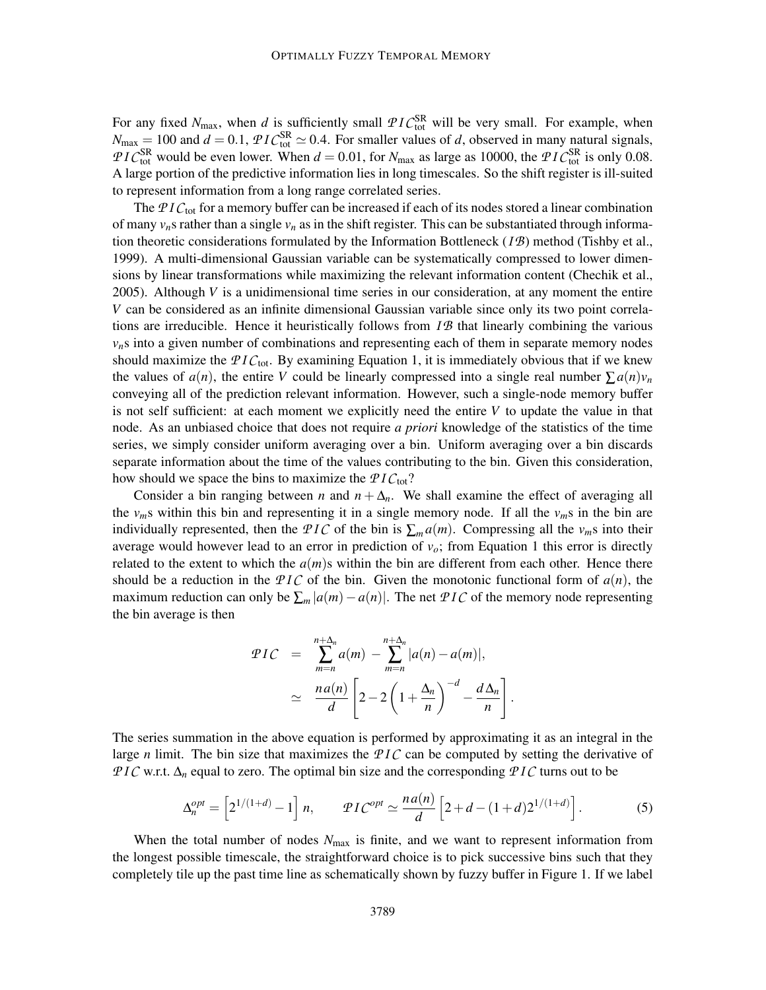For any fixed  $N_{\text{max}}$ , when *d* is sufficiently small  $\mathcal{P}IC_{\text{tot}}^{\text{SR}}$  will be very small. For example, when  $N_{\text{max}} = 100$  and  $d = 0.1$ ,  $\mathcal{P}IC_{\text{tot}}^{\text{SR}} \simeq 0.4$ . For smaller values of *d*, observed in many natural signals, *PIC*<sup>SR</sup> would be even lower. When  $d = 0.01$ , for  $N_{\text{max}}$  as large as 10000, the *PIC*<sup>SR</sup> is only 0.08. A large portion of the predictive information lies in long timescales. So the shift register is ill-suited to represent information from a long range correlated series.

The PIC<sub>tot</sub> for a memory buffer can be increased if each of its nodes stored a linear combination of many  $v_n$ s rather than a single  $v_n$  as in the shift register. This can be substantiated through information theoretic considerations formulated by the Information Bottleneck (*I B*) method (Tishby et al., 1999). A multi-dimensional Gaussian variable can be systematically compressed to lower dimensions by linear transformations while maximizing the relevant information content (Chechik et al., 2005). Although *V* is a unidimensional time series in our consideration, at any moment the entire *V* can be considered as an infinite dimensional Gaussian variable since only its two point correlations are irreducible. Hence it heuristically follows from *I B* that linearly combining the various  $v_n$ s into a given number of combinations and representing each of them in separate memory nodes should maximize the  $PIC_{\text{tot}}$ . By examining Equation 1, it is immediately obvious that if we knew the values of  $a(n)$ , the entire *V* could be linearly compressed into a single real number  $\sum a(n)v_n$ conveying all of the prediction relevant information. However, such a single-node memory buffer is not self sufficient: at each moment we explicitly need the entire *V* to update the value in that node. As an unbiased choice that does not require *a priori* knowledge of the statistics of the time series, we simply consider uniform averaging over a bin. Uniform averaging over a bin discards separate information about the time of the values contributing to the bin. Given this consideration, how should we space the bins to maximize the  $PIC_{\text{tot}}$ ?

Consider a bin ranging between *n* and  $n + \Delta_n$ . We shall examine the effect of averaging all the  $v_m$ s within this bin and representing it in a single memory node. If all the  $v_m$ s in the bin are individually represented, then the *PIC* of the bin is  $\sum_{m} a(m)$ . Compressing all the  $v_m$ s into their average would however lead to an error in prediction of  $v<sub>o</sub>$ ; from Equation 1 this error is directly related to the extent to which the  $a(m)$ s within the bin are different from each other. Hence there should be a reduction in the  $PIC$  of the bin. Given the monotonic functional form of  $a(n)$ , the maximum reduction can only be  $\sum_m |a(m) - a(n)|$ . The net *PIC* of the memory node representing the bin average is then

$$
\mathcal{P}IC = \sum_{m=n}^{n+\Delta_n} a(m) - \sum_{m=n}^{n+\Delta_n} |a(n) - a(m)|,
$$
  

$$
\simeq \frac{na(n)}{d} \left[ 2 - 2\left(1 + \frac{\Delta_n}{n}\right)^{-d} - \frac{d\Delta_n}{n} \right]
$$

The series summation in the above equation is performed by approximating it as an integral in the large *n* limit. The bin size that maximizes the  $PIC$  can be computed by setting the derivative of *P I C* w.r.t. ∆<sub>*n*</sub> equal to zero. The optimal bin size and the corresponding *P I C* turns out to be

$$
\Delta_n^{opt} = \left[ 2^{1/(1+d)} - 1 \right] n, \qquad \mathcal{P}IC^{opt} \simeq \frac{na(n)}{d} \left[ 2 + d - (1+d)2^{1/(1+d)} \right]. \tag{5}
$$

.

When the total number of nodes  $N_{\text{max}}$  is finite, and we want to represent information from the longest possible timescale, the straightforward choice is to pick successive bins such that they completely tile up the past time line as schematically shown by fuzzy buffer in Figure 1. If we label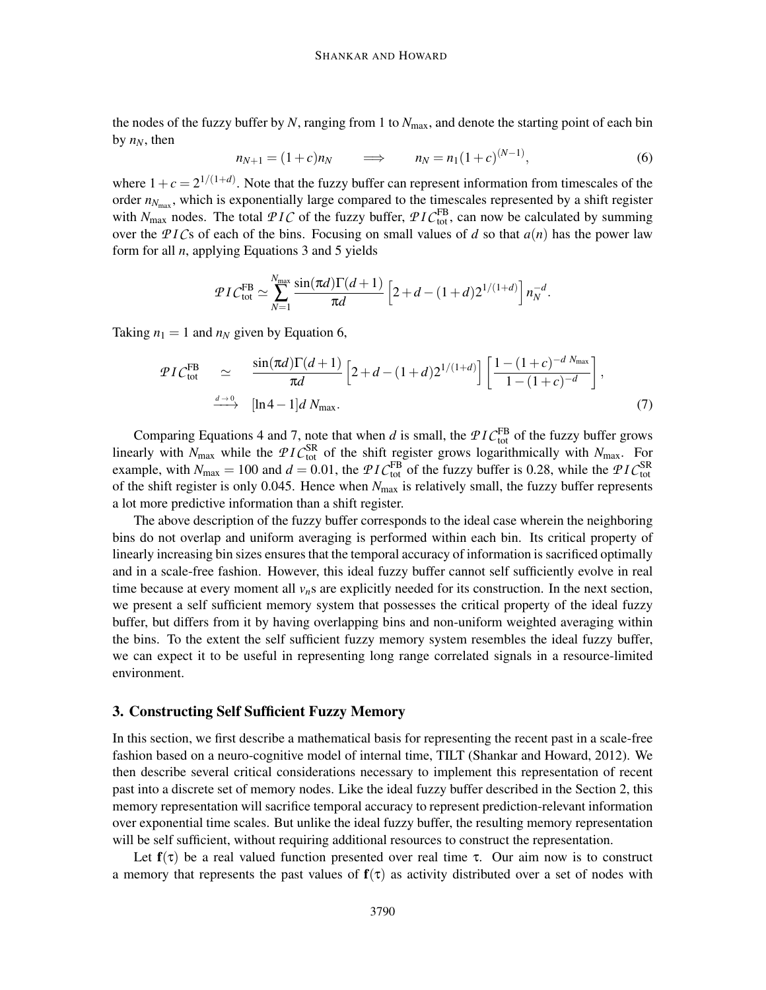the nodes of the fuzzy buffer by *N*, ranging from 1 to *N*max, and denote the starting point of each bin by  $n_N$ , then

$$
n_{N+1} = (1+c)n_N \qquad \Longrightarrow \qquad n_N = n_1(1+c)^{(N-1)}, \tag{6}
$$

where  $1 + c = 2^{1/(1+d)}$ . Note that the fuzzy buffer can represent information from timescales of the order  $n_{N_{\text{max}}}$ , which is exponentially large compared to the timescales represented by a shift register with  $N_{\text{max}}$  nodes. The total  $PIC$  of the fuzzy buffer,  $PIC_{\text{tot}}^{\text{FB}}$ , can now be calculated by summing over the PICs of each of the bins. Focusing on small values of *d* so that  $a(n)$  has the power law form for all *n*, applying Equations 3 and 5 yields

$$
\mathcal{P}IC_{\text{tot}}^{\text{FB}} \simeq \sum_{N=1}^{N_{\text{max}}}\frac{\sin(\pi d)\Gamma(d+1)}{\pi d}\left[2+d-(1+d)2^{1/(1+d)}\right]n_N^{-d}.
$$

Taking  $n_1 = 1$  and  $n_N$  given by Equation 6,

$$
\mathcal{P}IC_{\text{tot}}^{\text{FB}} \simeq \frac{\sin(\pi d)\Gamma(d+1)}{\pi d} \left[2+d-(1+d)2^{1/(1+d)}\right] \left[\frac{1-(1+c)^{-d} N_{\text{max}}}{1-(1+c)^{-d}}\right],
$$
\n
$$
\xrightarrow{d \to 0} [\ln 4 - 1]d N_{\text{max}}.
$$
\n(7)

Comparing Equations 4 and 7, note that when *d* is small, the  $PIC_{\text{tot}}^{\text{FB}}$  of the fuzzy buffer grows linearly with  $N_{\text{max}}$  while the  $PIC_{\text{tot}}^{\text{SR}}$  of the shift register grows logarithmically with  $N_{\text{max}}$ . For example, with  $N_{\text{max}} = 100$  and  $d = 0.01$ , the  $\mathcal{P}IC_{\text{tot}}^{\text{FB}}$  of the fuzzy buffer is 0.28, while the  $\mathcal{P}IC_{\text{tot}}^{\text{SR}}$ of the shift register is only 0.045. Hence when *N*max is relatively small, the fuzzy buffer represents a lot more predictive information than a shift register.

The above description of the fuzzy buffer corresponds to the ideal case wherein the neighboring bins do not overlap and uniform averaging is performed within each bin. Its critical property of linearly increasing bin sizes ensures that the temporal accuracy of information is sacrificed optimally and in a scale-free fashion. However, this ideal fuzzy buffer cannot self sufficiently evolve in real time because at every moment all  $v_n$ s are explicitly needed for its construction. In the next section, we present a self sufficient memory system that possesses the critical property of the ideal fuzzy buffer, but differs from it by having overlapping bins and non-uniform weighted averaging within the bins. To the extent the self sufficient fuzzy memory system resembles the ideal fuzzy buffer, we can expect it to be useful in representing long range correlated signals in a resource-limited environment.

#### 3. Constructing Self Sufficient Fuzzy Memory

In this section, we first describe a mathematical basis for representing the recent past in a scale-free fashion based on a neuro-cognitive model of internal time, TILT (Shankar and Howard, 2012). We then describe several critical considerations necessary to implement this representation of recent past into a discrete set of memory nodes. Like the ideal fuzzy buffer described in the Section 2, this memory representation will sacrifice temporal accuracy to represent prediction-relevant information over exponential time scales. But unlike the ideal fuzzy buffer, the resulting memory representation will be self sufficient, without requiring additional resources to construct the representation.

Let  $f(\tau)$  be a real valued function presented over real time  $\tau$ . Our aim now is to construct a memory that represents the past values of  $f(\tau)$  as activity distributed over a set of nodes with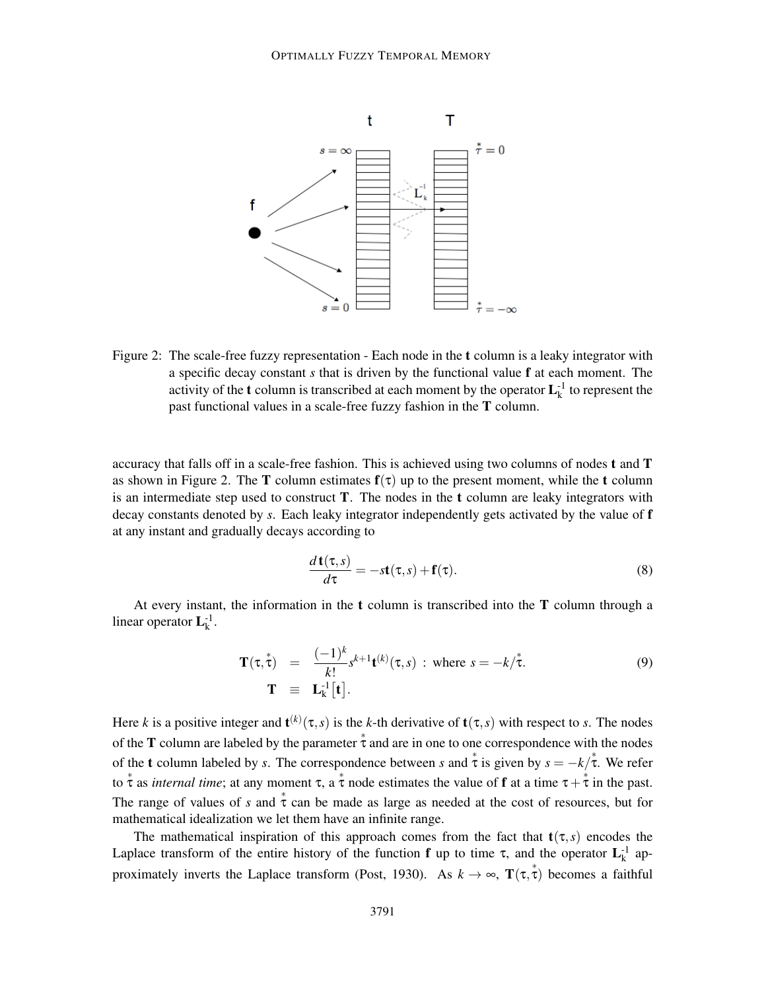

Figure 2: The scale-free fuzzy representation - Each node in the **t** column is a leaky integrator with a specific decay constant *s* that is driven by the functional value f at each moment. The activity of the **t** column is transcribed at each moment by the operator  $L_k^{-1}$  to represent the past functional values in a scale-free fuzzy fashion in the T column.

accuracy that falls off in a scale-free fashion. This is achieved using two columns of nodes t and T as shown in Figure 2. The **T** column estimates  $f(\tau)$  up to the present moment, while the **t** column is an intermediate step used to construct  $T$ . The nodes in the  $t$  column are leaky integrators with decay constants denoted by *s*. Each leaky integrator independently gets activated by the value of f at any instant and gradually decays according to

$$
\frac{d\mathbf{t}(\tau,s)}{d\tau} = -s\mathbf{t}(\tau,s) + \mathbf{f}(\tau). \tag{8}
$$

At every instant, the information in the t column is transcribed into the T column through a linear operator  $L_k^{-1}$ .

$$
\mathbf{T}(\tau,\overset{*}{\tau}) = \frac{(-1)^k}{k!} s^{k+1} \mathbf{t}^{(k)}(\tau,s) \; : \; \text{where } s = -k/\overset{*}{\tau}.
$$
\n
$$
\mathbf{T} \equiv \mathbf{L}_k^{-1}[\mathbf{t}].
$$
\n(9)

Here *k* is a positive integer and  $\mathbf{t}^{(k)}(\tau,s)$  is the *k*-th derivative of  $\mathbf{t}(\tau,s)$  with respect to *s*. The nodes of the **T** column are labeled by the parameter  $\dot{\tau}$  and are in one to one correspondence with the nodes of the **t** column labeled by *s*. The correspondence between *s* and  $\dot{\tau}$  is given by  $s = -k/\dot{\tau}$ . We refer to  $\stackrel{*}{\tau}$  as *internal time*; at any moment  $\tau$ , a  $\stackrel{*}{\tau}$  node estimates the value of **f** at a time  $\tau + \stackrel{*}{\tau}$  in the past. The range of values of *s* and  $\dot{\tau}$  can be made as large as needed at the cost of resources, but for mathematical idealization we let them have an infinite range.

The mathematical inspiration of this approach comes from the fact that  $t(\tau,s)$  encodes the Laplace transform of the entire history of the function **f** up to time  $\tau$ , and the operator  $L_k^{-1}$  approximately inverts the Laplace transform (Post, 1930). As  $k \to \infty$ ,  $\mathbf{T}(\tau, \tau)$  becomes a faithful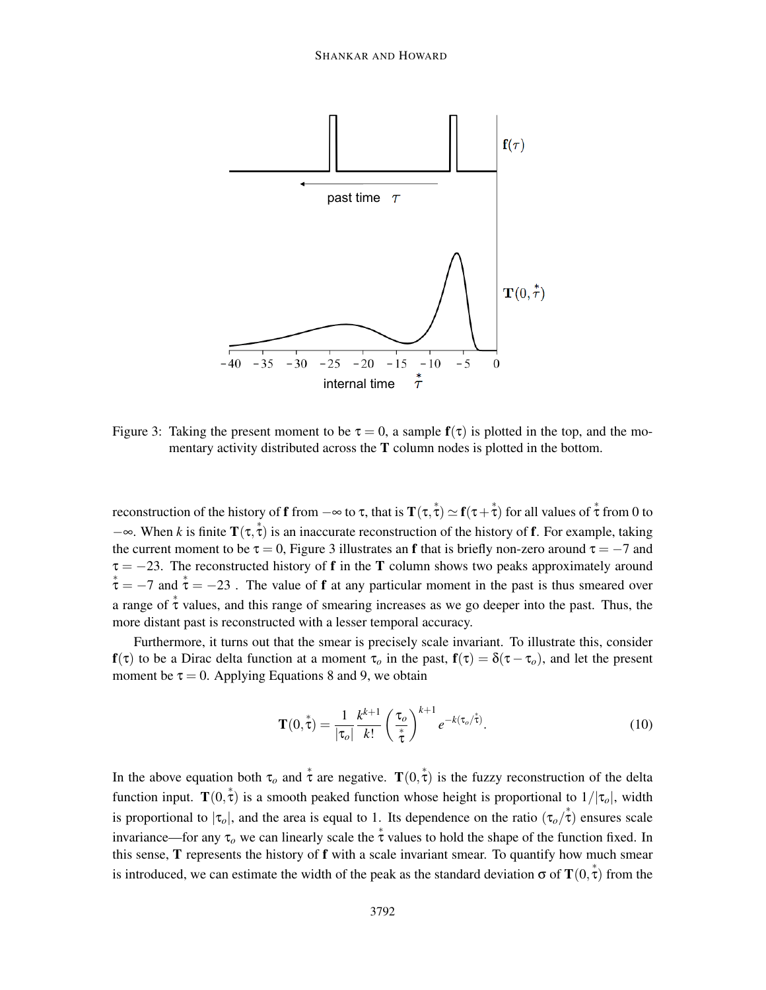

Figure 3: Taking the present moment to be  $\tau = 0$ , a sample  $f(\tau)$  is plotted in the top, and the momentary activity distributed across the T column nodes is plotted in the bottom.

reconstruction of the history of **f** from  $-\infty$  to  $\tau$ , that is  $\mathbf{T}(\tau, \tau) \simeq \mathbf{f}(\tau + \tau)$  for all values of  $\tau$  from 0 to  $-\infty$ . When *k* is finite **T**( $\tau$ ,  $\tau$ ) is an inaccurate reconstruction of the history of **f**. For example, taking the current moment to be  $\tau = 0$ , Figure 3 illustrates an f that is briefly non-zero around  $\tau = -7$  and  $\tau = -23$ . The reconstructed history of **f** in the **T** column shows two peaks approximately around  $\mathcal{L}^* = -7$  and  $\mathcal{L} = -23$ . The value of f at any particular moment in the past is thus smeared over a range of  $\stackrel{*}{\tau}$  values, and this range of smearing increases as we go deeper into the past. Thus, the more distant past is reconstructed with a lesser temporal accuracy.

Furthermore, it turns out that the smear is precisely scale invariant. To illustrate this, consider  $f(\tau)$  to be a Dirac delta function at a moment  $\tau_o$  in the past,  $f(\tau) = \delta(\tau - \tau_o)$ , and let the present moment be  $\tau = 0$ . Applying Equations 8 and 9, we obtain

$$
\mathbf{T}(0,\overset{*}{\tau}) = \frac{1}{|\tau_o|} \frac{k^{k+1}}{k!} \left(\frac{\tau_o}{\overset{*}{\tau}}\right)^{k+1} e^{-k(\tau_o/\overset{*}{\tau})}.
$$
 (10)

In the above equation both  $\tau_o$  and  $\stackrel{*}{\tau}$  are negative.  $\mathbf{T}(0, \stackrel{*}{\tau})$  is the fuzzy reconstruction of the delta function input.  $\mathbf{T}(0, \mathbf{\dot{\tau}})$  is a smooth peaked function whose height is proportional to  $1/|\tau_o|$ , width is proportional to  $|\tau_o|$ , and the area is equal to 1. Its dependence on the ratio  $(\tau_o/\tau)$  ensures scale invariance—for any  $\tau_o$  we can linearly scale the  $\dot{\tau}$  values to hold the shape of the function fixed. In this sense, T represents the history of f with a scale invariant smear. To quantify how much smear is introduced, we can estimate the width of the peak as the standard deviation  $\sigma$  of  $\mathbf{T}(0, \mathring{\tau})$  from the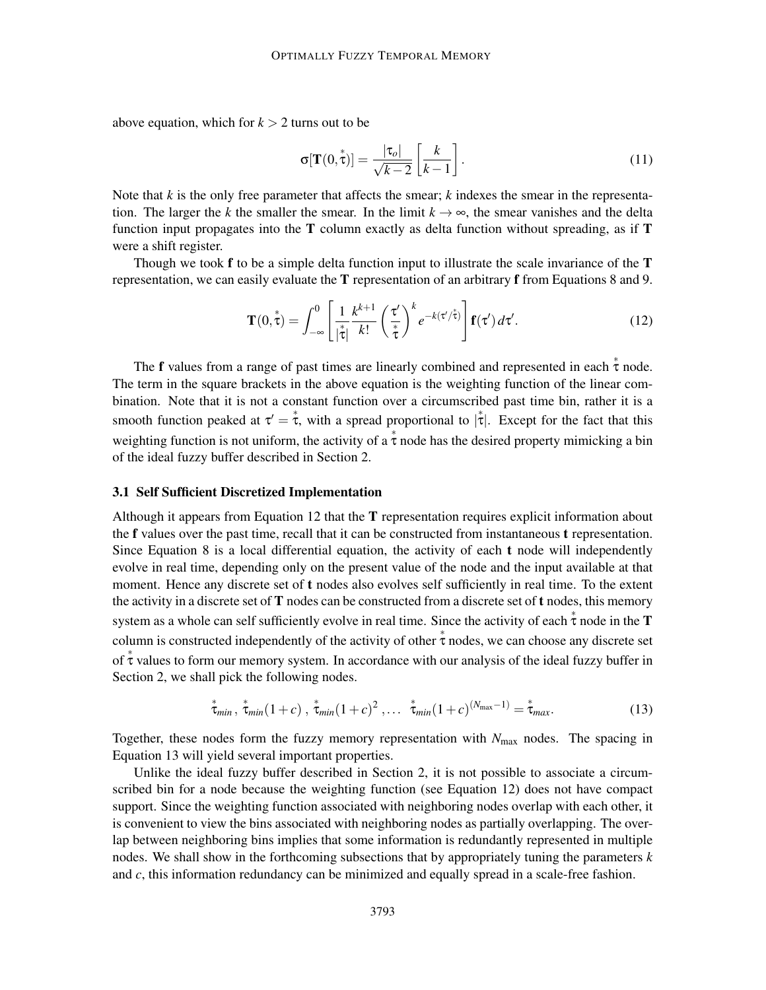above equation, which for  $k > 2$  turns out to be

$$
\sigma[\mathbf{T}(0,\overset{*}{\tau})] = \frac{|\tau_o|}{\sqrt{k-2}} \left[ \frac{k}{k-1} \right]. \tag{11}
$$

Note that *k* is the only free parameter that affects the smear; *k* indexes the smear in the representation. The larger the *k* the smaller the smear. In the limit  $k \to \infty$ , the smear vanishes and the delta function input propagates into the  $T$  column exactly as delta function without spreading, as if  $T$ were a shift register.

Though we took  $f$  to be a simple delta function input to illustrate the scale invariance of the  $T$ representation, we can easily evaluate the T representation of an arbitrary f from Equations 8 and 9.

$$
\mathbf{T}(0,\tau) = \int_{-\infty}^{0} \left[ \frac{1}{|\tau|} \frac{k^{k+1}}{k!} \left( \frac{\tau'}{\tau} \right)^k e^{-k(\tau'/\tau)} \right] \mathbf{f}(\tau') d\tau'. \tag{12}
$$

The f values from a range of past times are linearly combined and represented in each  $\stackrel{*}{\tau}$  node. The term in the square brackets in the above equation is the weighting function of the linear combination. Note that it is not a constant function over a circumscribed past time bin, rather it is a smooth function peaked at  $\tau' = \tau$ , with a spread proportional to  $|\tau|$ . Except for the fact that this weighting function is not uniform, the activity of a  $\stackrel{*}{\tau}$  node has the desired property mimicking a bin of the ideal fuzzy buffer described in Section 2.

## 3.1 Self Sufficient Discretized Implementation

Although it appears from Equation 12 that the  $T$  representation requires explicit information about the f values over the past time, recall that it can be constructed from instantaneous t representation. Since Equation 8 is a local differential equation, the activity of each  $t$  node will independently evolve in real time, depending only on the present value of the node and the input available at that moment. Hence any discrete set of t nodes also evolves self sufficiently in real time. To the extent the activity in a discrete set of  $T$  nodes can be constructed from a discrete set of  $t$  nodes, this memory system as a whole can self sufficiently evolve in real time. Since the activity of each  $\stackrel{*}{\tau}$  node in the **T** column is constructed independently of the activity of other  $\stackrel{*}{\tau}$  nodes, we can choose any discrete set of  $\stackrel{*}{\tau}$  values to form our memory system. In accordance with our analysis of the ideal fuzzy buffer in Section 2, we shall pick the following nodes.

$$
\stackrel{*}{\tau_{min}}\stackrel{*}{\tau_{min}}(1+c)\stackrel{*}{\tau_{min}}(1+c)^2\ldots\stackrel{*}{\tau_{min}}(1+c)^{(N_{max}-1)}=\stackrel{*}{\tau_{max}}.\tag{13}
$$

Together, these nodes form the fuzzy memory representation with *N*max nodes. The spacing in Equation 13 will yield several important properties.

Unlike the ideal fuzzy buffer described in Section 2, it is not possible to associate a circumscribed bin for a node because the weighting function (see Equation 12) does not have compact support. Since the weighting function associated with neighboring nodes overlap with each other, it is convenient to view the bins associated with neighboring nodes as partially overlapping. The overlap between neighboring bins implies that some information is redundantly represented in multiple nodes. We shall show in the forthcoming subsections that by appropriately tuning the parameters *k* and *c*, this information redundancy can be minimized and equally spread in a scale-free fashion.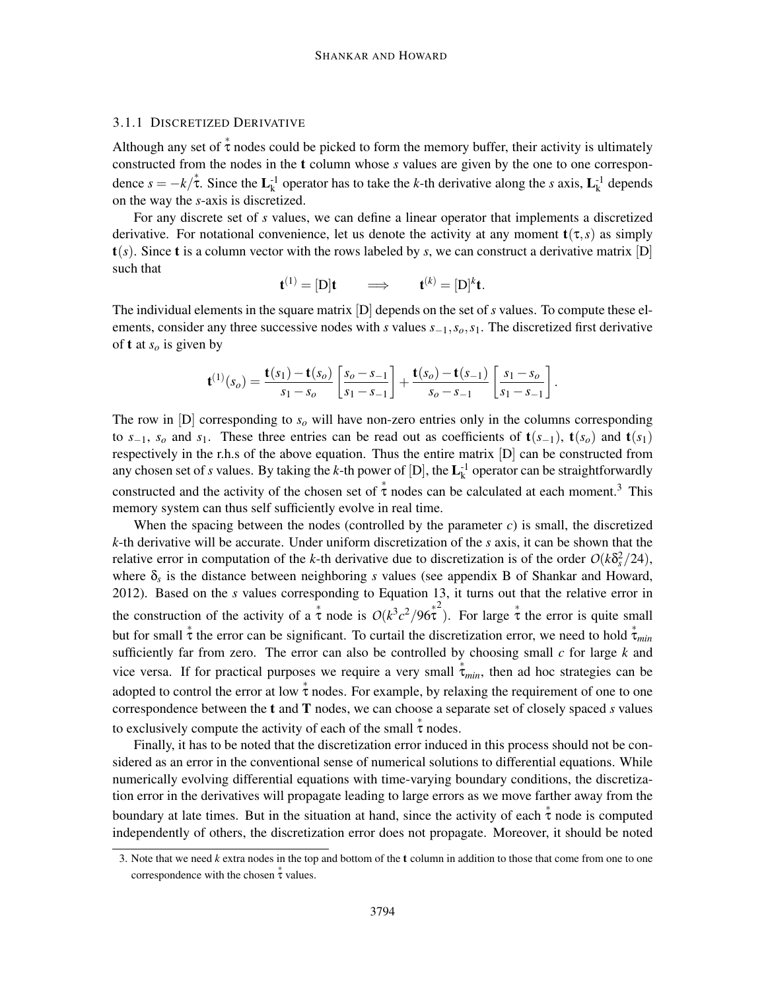### 3.1.1 DISCRETIZED DERIVATIVE

Although any set of  $\stackrel{*}{\tau}$  nodes could be picked to form the memory buffer, their activity is ultimately constructed from the nodes in the t column whose *s* values are given by the one to one correspondence  $s = -k/\tau$ . Since the  $\mathbf{L}_k^{-1}$  operator has to take the *k*-th derivative along the *s* axis,  $\mathbf{L}_k^{-1}$  depends on the way the *s*-axis is discretized.

For any discrete set of *s* values, we can define a linear operator that implements a discretized derivative. For notational convenience, let us denote the activity at any moment  $t(\tau,s)$  as simply  $t(s)$ . Since t is a column vector with the rows labeled by *s*, we can construct a derivative matrix [D] such that

$$
\mathbf{t}^{(1)} = [D]\mathbf{t} \qquad \Longrightarrow \qquad \mathbf{t}^{(k)} = [D]^k \mathbf{t}.
$$

The individual elements in the square matrix [D] depends on the set of *s* values. To compute these elements, consider any three successive nodes with *s* values *s*−1,*so*,*s*1. The discretized first derivative of **t** at  $s_o$  is given by

$$
\mathbf{t}^{(1)}(s_o) = \frac{\mathbf{t}(s_1) - \mathbf{t}(s_o)}{s_1 - s_o} \left[ \frac{s_o - s_{-1}}{s_1 - s_{-1}} \right] + \frac{\mathbf{t}(s_o) - \mathbf{t}(s_{-1})}{s_o - s_{-1}} \left[ \frac{s_1 - s_o}{s_1 - s_{-1}} \right].
$$

The row in  $[D]$  corresponding to  $s<sub>o</sub>$  will have non-zero entries only in the columns corresponding to  $s_{-1}$ ,  $s_o$  and  $s_1$ . These three entries can be read out as coefficients of  $t(s_{-1})$ ,  $t(s_o)$  and  $t(s_1)$ respectively in the r.h.s of the above equation. Thus the entire matrix [D] can be constructed from any chosen set of *s* values. By taking the *k*-th power of  $[D]$ , the  $L_k^{-1}$  operator can be straightforwardly constructed and the activity of the chosen set of  $\stackrel{*}{\tau}$  nodes can be calculated at each moment.<sup>3</sup> This memory system can thus self sufficiently evolve in real time.

When the spacing between the nodes (controlled by the parameter *c*) is small, the discretized *k*-th derivative will be accurate. Under uniform discretization of the *s* axis, it can be shown that the relative error in computation of the *k*-th derivative due to discretization is of the order  $O(k\delta_s^2/24)$ , where δ*<sup>s</sup>* is the distance between neighboring *s* values (see appendix B of Shankar and Howard, 2012). Based on the *s* values corresponding to Equation 13, it turns out that the relative error in the construction of the activity of a  $\stackrel{*}{\tau}$  node is  $O(k^3c^2/96\stackrel{*}{\tau})$ . For large  $\stackrel{*}{\tau}$  the error is quite small but for small  $\stackrel{*}{\tau}$  the error can be significant. To curtail the discretization error, we need to hold  $\stackrel{*}{\tau}_{min}$ sufficiently far from zero. The error can also be controlled by choosing small *c* for large *k* and vice versa. If for practical purposes we require a very small  $\dot{\tau}_{min}$ , then ad hoc strategies can be adopted to control the error at low  $\stackrel{*}{\tau}$  nodes. For example, by relaxing the requirement of one to one correspondence between the t and T nodes, we can choose a separate set of closely spaced *s* values to exclusively compute the activity of each of the small  $\stackrel{*}{\tau}$  nodes.

Finally, it has to be noted that the discretization error induced in this process should not be considered as an error in the conventional sense of numerical solutions to differential equations. While numerically evolving differential equations with time-varying boundary conditions, the discretization error in the derivatives will propagate leading to large errors as we move farther away from the boundary at late times. But in the situation at hand, since the activity of each  $\dot{\tau}$  node is computed independently of others, the discretization error does not propagate. Moreover, it should be noted

<sup>3.</sup> Note that we need *k* extra nodes in the top and bottom of the t column in addition to those that come from one to one correspondence with the chosen  $\stackrel{*}{\tau}$  values.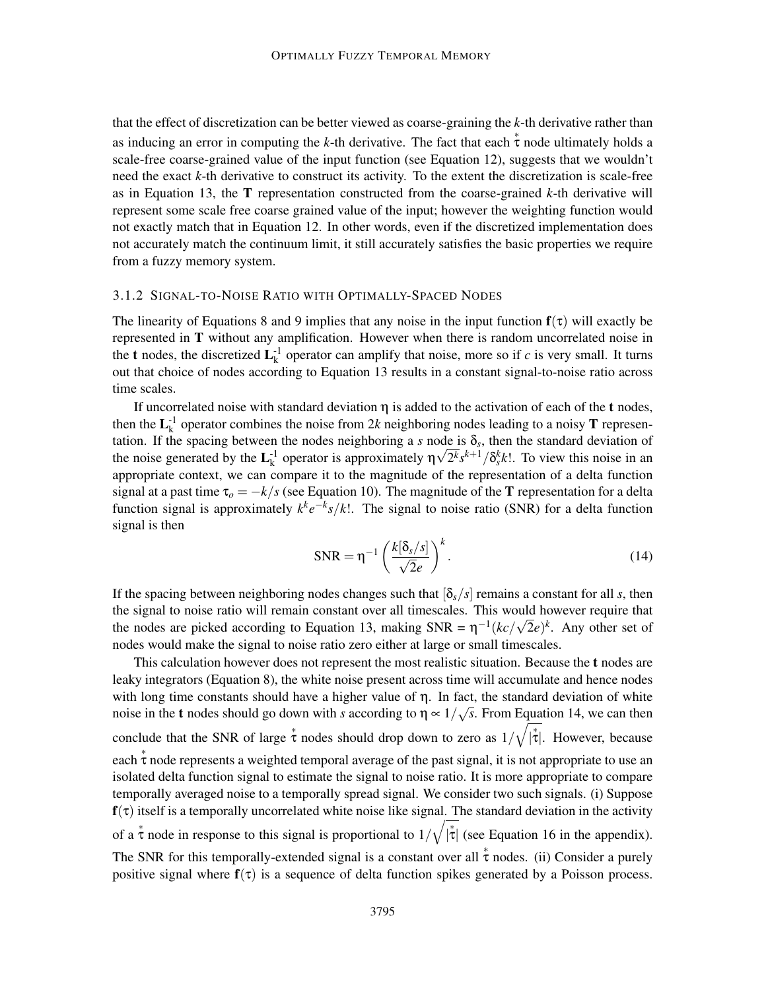that the effect of discretization can be better viewed as coarse-graining the *k*-th derivative rather than as inducing an error in computing the *k*-th derivative. The fact that each  $\stackrel{*}{\tau}$  node ultimately holds a scale-free coarse-grained value of the input function (see Equation 12), suggests that we wouldn't need the exact *k*-th derivative to construct its activity. To the extent the discretization is scale-free as in Equation 13, the T representation constructed from the coarse-grained *k*-th derivative will represent some scale free coarse grained value of the input; however the weighting function would not exactly match that in Equation 12. In other words, even if the discretized implementation does not accurately match the continuum limit, it still accurately satisfies the basic properties we require from a fuzzy memory system.

#### 3.1.2 SIGNAL-TO-NOISE RATIO WITH OPTIMALLY-SPACED NODES

The linearity of Equations 8 and 9 implies that any noise in the input function  $f(\tau)$  will exactly be represented in T without any amplification. However when there is random uncorrelated noise in the **t** nodes, the discretized  $L_k^{-1}$  operator can amplify that noise, more so if *c* is very small. It turns out that choice of nodes according to Equation 13 results in a constant signal-to-noise ratio across time scales.

If uncorrelated noise with standard deviation  $\eta$  is added to the activation of each of the t nodes, then the  $L_k^{-1}$  operator combines the noise from 2*k* neighboring nodes leading to a noisy **T** representation. If the spacing between the nodes neighboring a  $s$  node is  $\delta_s$ , then the standard deviation of the noise generated by the  $\mathbf{L}_{k}^{-1}$  operator is approximately  $\eta \sqrt{2^{k}} s^{k+1} / \delta_{s}^{k} k!$ . To view this noise in an appropriate context, we can compare it to the magnitude of the representation of a delta function signal at a past time  $\tau_o = -k/s$  (see Equation 10). The magnitude of the T representation for a delta function signal is approximately  $k^k e^{-k} s/k!$ . The signal to noise ratio (SNR) for a delta function signal is then

$$
SNR = \eta^{-1} \left( \frac{k[\delta_s/s]}{\sqrt{2}e} \right)^k.
$$
 (14)

If the spacing between neighboring nodes changes such that  $[\delta_s/s]$  remains a constant for all *s*, then the signal to noise ratio will remain constant over all timescales. This would however require that the nodes are picked according to Equation 13, making SNR =  $\eta^{-1}(kc/\sqrt{2}e)^k$ . Any other set of nodes would make the signal to noise ratio zero either at large or small timescales.

This calculation however does not represent the most realistic situation. Because the t nodes are leaky integrators (Equation 8), the white noise present across time will accumulate and hence nodes with long time constants should have a higher value of  $\eta$ . In fact, the standard deviation of white noise in the **t** nodes should go down with *s* according to  $\eta \propto 1/\sqrt{s}$ . From Equation 14, we can then conclude that the SNR of large  $\stackrel{*}{\tau}$  nodes should drop down to zero as  $1/\sqrt{ }$  $|\dot{\tau}|$ . However, because each  $\stackrel{*}{\tau}$  node represents a weighted temporal average of the past signal, it is not appropriate to use an isolated delta function signal to estimate the signal to noise ratio. It is more appropriate to compare temporally averaged noise to a temporally spread signal. We consider two such signals. (i) Suppose  $f(\tau)$  itself is a temporally uncorrelated white noise like signal. The standard deviation in the activity of a  $\stackrel{*}{\tau}$  node in response to this signal is proportional to  $1/\sqrt{ }$  $|\dot{\tau}|$  (see Equation 16 in the appendix). The SNR for this temporally-extended signal is a constant over all  $\stackrel{*}{\tau}$  nodes. (ii) Consider a purely positive signal where  $f(\tau)$  is a sequence of delta function spikes generated by a Poisson process.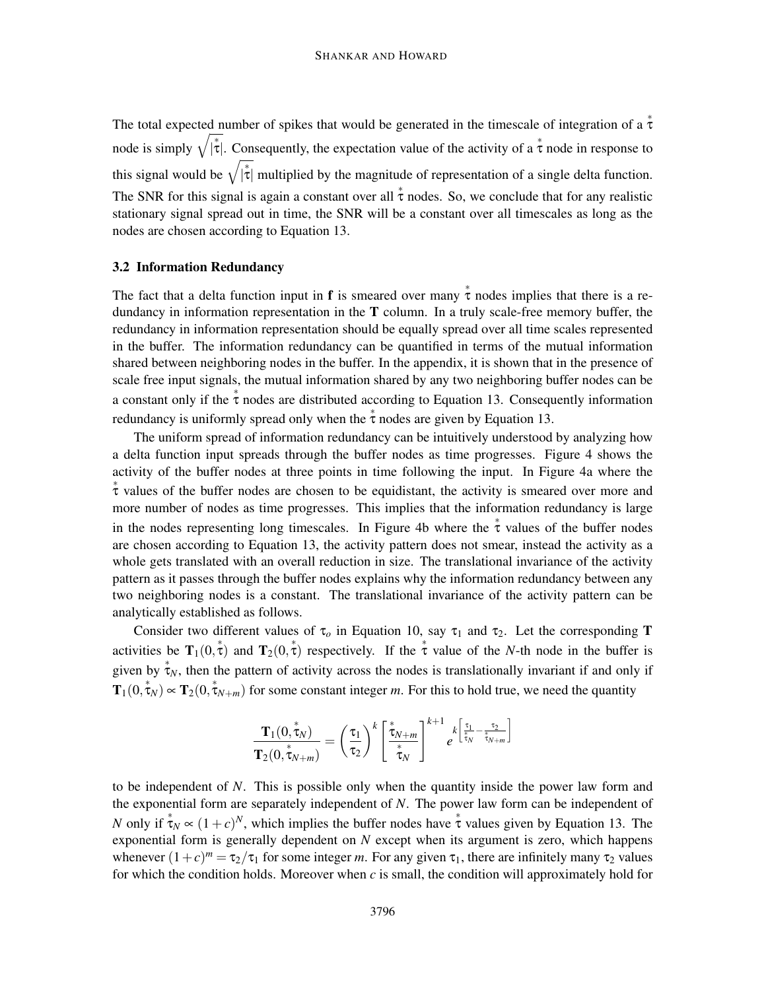The total expected number of spikes that would be generated in the timescale of integration of a  $\stackrel{*}{\tau}$ node is simply  $\sqrt{|\tau|}$ . Consequently, the expectation value of the activity of a  $\tau$  node in response to this signal would be  $\sqrt{|\tau|}$  multiplied by the magnitude of representation of a single delta function. The SNR for this signal is again a constant over all  $\stackrel{*}{\tau}$  nodes. So, we conclude that for any realistic stationary signal spread out in time, the SNR will be a constant over all timescales as long as the nodes are chosen according to Equation 13.

#### 3.2 Information Redundancy

The fact that a delta function input in **f** is smeared over many  $\dot{\tau}$  nodes implies that there is a redundancy in information representation in the  $T$  column. In a truly scale-free memory buffer, the redundancy in information representation should be equally spread over all time scales represented in the buffer. The information redundancy can be quantified in terms of the mutual information shared between neighboring nodes in the buffer. In the appendix, it is shown that in the presence of scale free input signals, the mutual information shared by any two neighboring buffer nodes can be a constant only if the  $\stackrel{*}{\tau}$  nodes are distributed according to Equation 13. Consequently information redundancy is uniformly spread only when the  $\stackrel{*}{\tau}$  nodes are given by Equation 13.

The uniform spread of information redundancy can be intuitively understood by analyzing how a delta function input spreads through the buffer nodes as time progresses. Figure 4 shows the activity of the buffer nodes at three points in time following the input. In Figure 4a where the ∗ τ values of the buffer nodes are chosen to be equidistant, the activity is smeared over more and more number of nodes as time progresses. This implies that the information redundancy is large in the nodes representing long timescales. In Figure 4b where the  $\stackrel{*}{\tau}$  values of the buffer nodes are chosen according to Equation 13, the activity pattern does not smear, instead the activity as a whole gets translated with an overall reduction in size. The translational invariance of the activity pattern as it passes through the buffer nodes explains why the information redundancy between any two neighboring nodes is a constant. The translational invariance of the activity pattern can be analytically established as follows.

Consider two different values of  $\tau_o$  in Equation 10, say  $\tau_1$  and  $\tau_2$ . Let the corresponding **T** activities be  $T_1(0, \tau)$  and  $T_2(0, \tau)$  respectively. If the  $\tau$  value of the *N*-th node in the buffer is given by  $\stackrel{*}{\tau}_N$ , then the pattern of activity across the nodes is translationally invariant if and only if  $T_1(0,\tau_N) \propto T_2(0,\tau_{N+m})$  for some constant integer *m*. For this to hold true, we need the quantity

$$
\frac{\mathbf{T}_1(0, \overset{*}{\tau}_N)}{\mathbf{T}_2(0, \overset{*}{\tau}_{N+m})} = \left(\frac{\tau_1}{\tau_2}\right)^k \left[\frac{\overset{*}{\tau}_{N+m}}{\overset{*}{\tau}_N}\right]^{k+1} e^{k \left[\frac{\tau_1}{\overset{*}{\tau}_N} - \frac{\tau_2}{\overset{*}{\tau}_{N+m}}\right]}
$$

to be independent of *N*. This is possible only when the quantity inside the power law form and the exponential form are separately independent of *N*. The power law form can be independent of *N* only if  $\tau_N \propto (1+c)^N$ , which implies the buffer nodes have  $\dot{\tau}$  values given by Equation 13. The exponential form is generally dependent on *N* except when its argument is zero, which happens whenever  $(1+c)^m = \tau_2/\tau_1$  for some integer *m*. For any given  $\tau_1$ , there are infinitely many  $\tau_2$  values for which the condition holds. Moreover when *c* is small, the condition will approximately hold for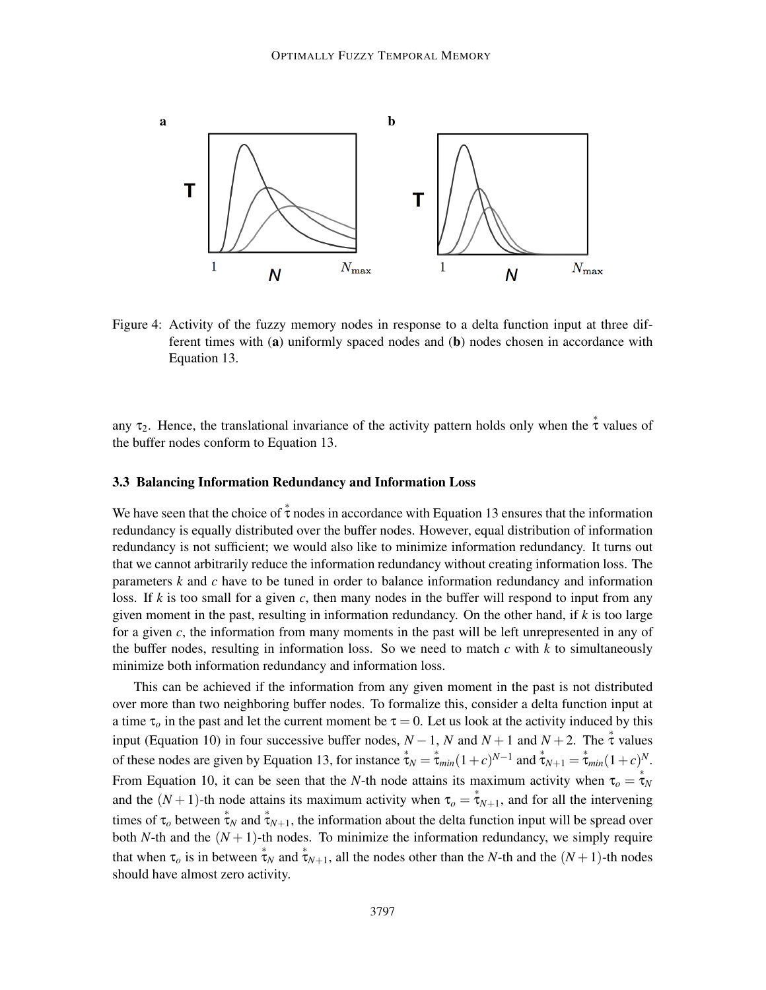

Figure 4: Activity of the fuzzy memory nodes in response to a delta function input at three different times with (a) uniformly spaced nodes and (b) nodes chosen in accordance with Equation 13.

any  $\tau_2$ . Hence, the translational invariance of the activity pattern holds only when the  $\stackrel{*}{\tau}$  values of the buffer nodes conform to Equation 13.

#### 3.3 Balancing Information Redundancy and Information Loss

We have seen that the choice of  $\stackrel{*}{\tau}$  nodes in accordance with Equation 13 ensures that the information redundancy is equally distributed over the buffer nodes. However, equal distribution of information redundancy is not sufficient; we would also like to minimize information redundancy. It turns out that we cannot arbitrarily reduce the information redundancy without creating information loss. The parameters *k* and *c* have to be tuned in order to balance information redundancy and information loss. If *k* is too small for a given *c*, then many nodes in the buffer will respond to input from any given moment in the past, resulting in information redundancy. On the other hand, if *k* is too large for a given *c*, the information from many moments in the past will be left unrepresented in any of the buffer nodes, resulting in information loss. So we need to match *c* with *k* to simultaneously minimize both information redundancy and information loss.

This can be achieved if the information from any given moment in the past is not distributed over more than two neighboring buffer nodes. To formalize this, consider a delta function input at a time  $\tau_o$  in the past and let the current moment be  $\tau = 0$ . Let us look at the activity induced by this input (Equation 10) in four successive buffer nodes,  $N-1$ , *N* and  $N+1$  and  $N+2$ . The  $\stackrel{*}{\tau}$  values of these nodes are given by Equation 13, for instance  $\dot{\tau}_N = \dot{\tau}_{min}(1+c)^{N-1}$  and  $\dot{\tau}_{N+1} = \dot{\tau}_{min}(1+c)^N$ . From Equation 10, it can be seen that the *N*-th node attains its maximum activity when  $\tau_o = \tau_N$ and the  $(N+1)$ -th node attains its maximum activity when  $\tau_o = \tau_{N+1}$ , and for all the intervening times of  $\tau_o$  between  $\stackrel{*}{\tau_N}$  and  $\stackrel{*}{\tau_{N+1}}$ , the information about the delta function input will be spread over both *N*-th and the  $(N + 1)$ -th nodes. To minimize the information redundancy, we simply require that when  $\tau_o$  is in between  $\overset{*}{\tau}_N$  and  $\overset{*}{\tau}_{N+1}$ , all the nodes other than the *N*-th and the  $(N+1)$ -th nodes should have almost zero activity.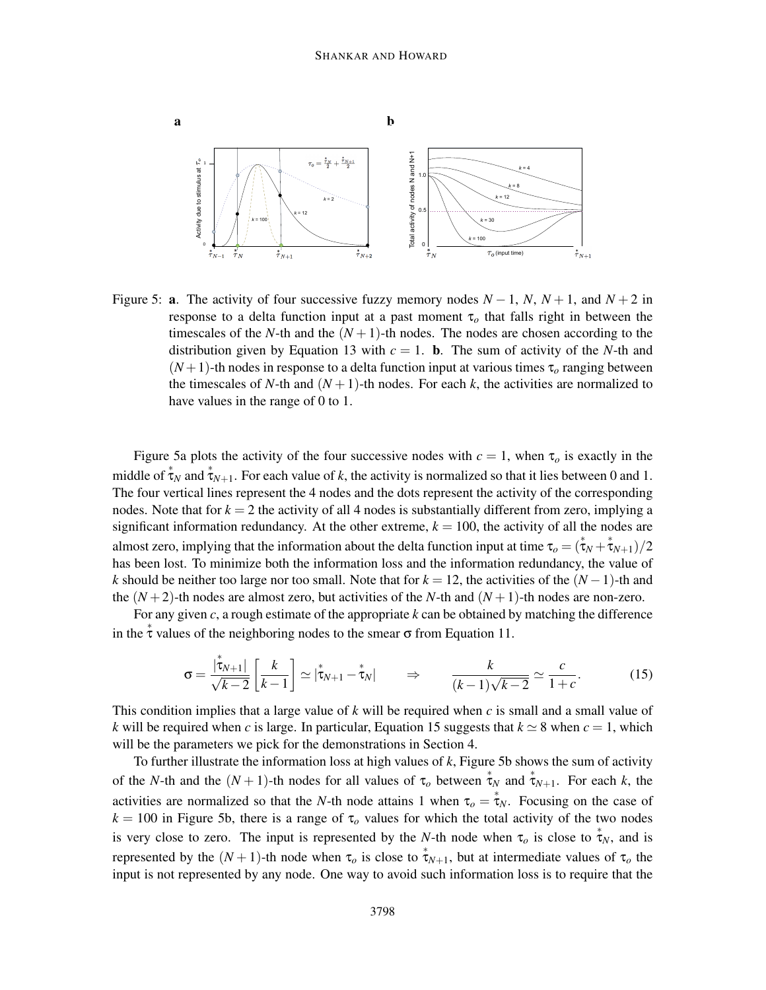

Figure 5: **a**. The activity of four successive fuzzy memory nodes  $N-1$ ,  $N$ ,  $N+1$ , and  $N+2$  in response to a delta function input at a past moment τ*<sup>o</sup>* that falls right in between the timescales of the *N*-th and the  $(N + 1)$ -th nodes. The nodes are chosen according to the distribution given by Equation 13 with  $c = 1$ . **b**. The sum of activity of the *N*-th and  $(N+1)$ -th nodes in response to a delta function input at various times  $\tau_o$  ranging between the timescales of *N*-th and  $(N+1)$ -th nodes. For each *k*, the activities are normalized to have values in the range of 0 to 1.

Figure 5a plots the activity of the four successive nodes with  $c = 1$ , when  $\tau_o$  is exactly in the middle of  $\tau_N$  and  $\tau_{N+1}$ . For each value of *k*, the activity is normalized so that it lies between 0 and 1. The four vertical lines represent the 4 nodes and the dots represent the activity of the corresponding nodes. Note that for  $k = 2$  the activity of all 4 nodes is substantially different from zero, implying a significant information redundancy. At the other extreme,  $k = 100$ , the activity of all the nodes are almost zero, implying that the information about the delta function input at time  $\tau_o = (\tau_N + \tau_{N+1})/2$ has been lost. To minimize both the information loss and the information redundancy, the value of *k* should be neither too large nor too small. Note that for  $k = 12$ , the activities of the  $(N - 1)$ -th and the  $(N+2)$ -th nodes are almost zero, but activities of the *N*-th and  $(N+1)$ -th nodes are non-zero.

For any given *c*, a rough estimate of the appropriate *k* can be obtained by matching the difference in the  $\stackrel{*}{\tau}$  values of the neighboring nodes to the smear  $\sigma$  from Equation 11.

$$
\sigma = \frac{|\dot{\tau}_{N+1}|}{\sqrt{k-2}} \left[ \frac{k}{k-1} \right] \simeq |\dot{\tau}_{N+1} - \dot{\tau}_N| \qquad \Rightarrow \qquad \frac{k}{(k-1)\sqrt{k-2}} \simeq \frac{c}{1+c}.
$$
 (15)

This condition implies that a large value of  $k$  will be required when  $c$  is small and a small value of *k* will be required when *c* is large. In particular, Equation 15 suggests that  $k \approx 8$  when  $c = 1$ , which will be the parameters we pick for the demonstrations in Section 4.

To further illustrate the information loss at high values of *k*, Figure 5b shows the sum of activity of the *N*-th and the  $(N+1)$ -th nodes for all values of  $\tau_o$  between  $\stackrel{*}{\tau}_N$  and  $\stackrel{*}{\tau}_{N+1}$ . For each *k*, the activities are normalized so that the *N*-th node attains 1 when  $\tau_o = \tau_N$ . Focusing on the case of  $k = 100$  in Figure 5b, there is a range of  $\tau_o$  values for which the total activity of the two nodes is very close to zero. The input is represented by the *N*-th node when  $\tau_o$  is close to  $\tau_N$ , and is represented by the  $(N+1)$ -th node when  $\tau_o$  is close to  $\tau_{N+1}$ , but at intermediate values of  $\tau_o$  the input is not represented by any node. One way to avoid such information loss is to require that the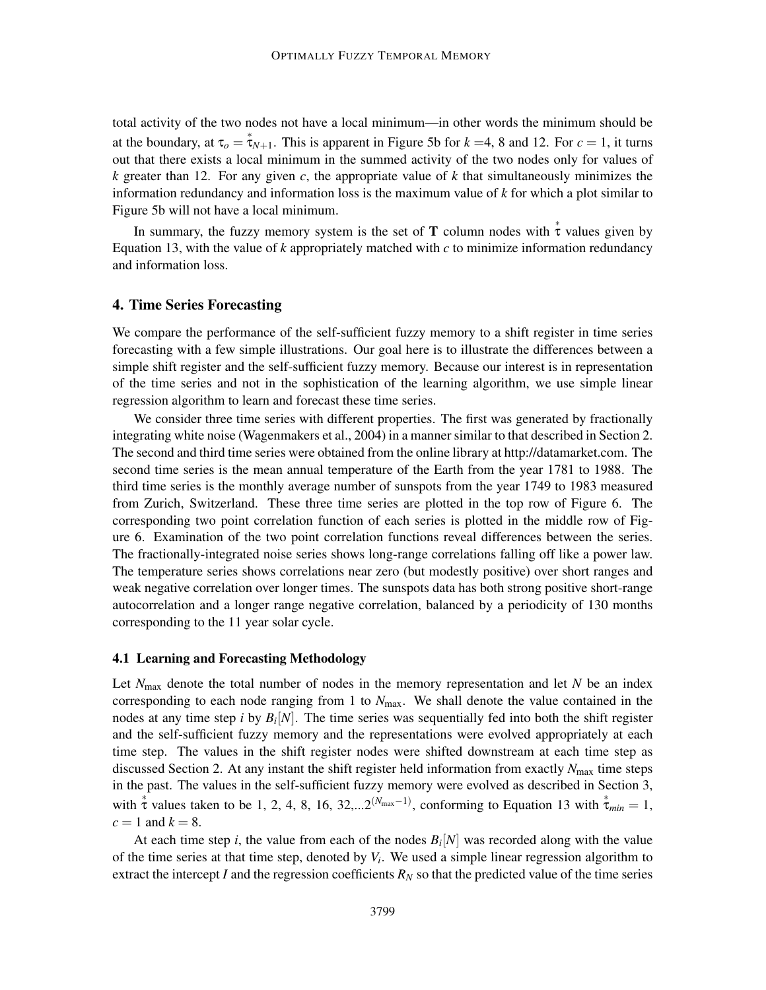total activity of the two nodes not have a local minimum—in other words the minimum should be at the boundary, at  $\tau_o = \tau_{N+1}$ . This is apparent in Figure 5b for  $k = 4$ , 8 and 12. For  $c = 1$ , it turns out that there exists a local minimum in the summed activity of the two nodes only for values of *k* greater than 12. For any given *c*, the appropriate value of *k* that simultaneously minimizes the information redundancy and information loss is the maximum value of *k* for which a plot similar to Figure 5b will not have a local minimum.

In summary, the fuzzy memory system is the set of **T** column nodes with  $\dot{\tau}$  values given by Equation 13, with the value of  $k$  appropriately matched with  $c$  to minimize information redundancy and information loss.

#### 4. Time Series Forecasting

We compare the performance of the self-sufficient fuzzy memory to a shift register in time series forecasting with a few simple illustrations. Our goal here is to illustrate the differences between a simple shift register and the self-sufficient fuzzy memory. Because our interest is in representation of the time series and not in the sophistication of the learning algorithm, we use simple linear regression algorithm to learn and forecast these time series.

We consider three time series with different properties. The first was generated by fractionally integrating white noise (Wagenmakers et al., 2004) in a manner similar to that described in Section 2. The second and third time series were obtained from the online library at http://datamarket.com. The second time series is the mean annual temperature of the Earth from the year 1781 to 1988. The third time series is the monthly average number of sunspots from the year 1749 to 1983 measured from Zurich, Switzerland. These three time series are plotted in the top row of Figure 6. The corresponding two point correlation function of each series is plotted in the middle row of Figure 6. Examination of the two point correlation functions reveal differences between the series. The fractionally-integrated noise series shows long-range correlations falling off like a power law. The temperature series shows correlations near zero (but modestly positive) over short ranges and weak negative correlation over longer times. The sunspots data has both strong positive short-range autocorrelation and a longer range negative correlation, balanced by a periodicity of 130 months corresponding to the 11 year solar cycle.

#### 4.1 Learning and Forecasting Methodology

Let  $N_{\text{max}}$  denote the total number of nodes in the memory representation and let  $N$  be an index corresponding to each node ranging from 1 to  $N_{\text{max}}$ . We shall denote the value contained in the nodes at any time step *i* by *B<sup>i</sup>* [*N*]. The time series was sequentially fed into both the shift register and the self-sufficient fuzzy memory and the representations were evolved appropriately at each time step. The values in the shift register nodes were shifted downstream at each time step as discussed Section 2. At any instant the shift register held information from exactly  $N_{\text{max}}$  time steps in the past. The values in the self-sufficient fuzzy memory were evolved as described in Section 3, with  $\stackrel{*}{\tau}$  values taken to be 1, 2, 4, 8, 16, 32,...2<sup>(*N*max<sup>-1)</sup>, conforming to Equation 13 with  $\stackrel{*}{\tau}_{min} = 1$ ,</sup>  $c = 1$  and  $k = 8$ .

At each time step *i*, the value from each of the nodes  $B_i[N]$  was recorded along with the value of the time series at that time step, denoted by *V<sup>i</sup>* . We used a simple linear regression algorithm to extract the intercept *I* and the regression coefficients  $R_N$  so that the predicted value of the time series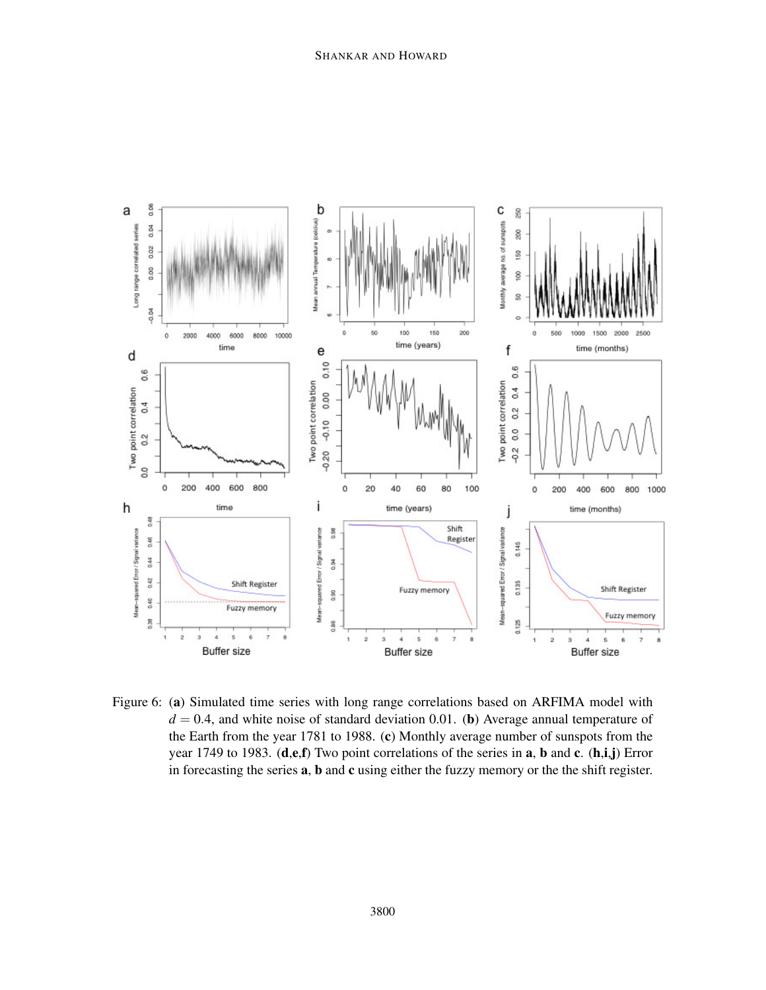

Figure 6: (a) Simulated time series with long range correlations based on ARFIMA model with  $d = 0.4$ , and white noise of standard deviation 0.01. (b) Average annual temperature of the Earth from the year 1781 to 1988. (c) Monthly average number of sunspots from the year 1749 to 1983.  $(d, e, f)$  Two point correlations of the series in a, b and c.  $(h, i, j)$  Error in forecasting the series **a**, **b** and **c** using either the fuzzy memory or the the shift register.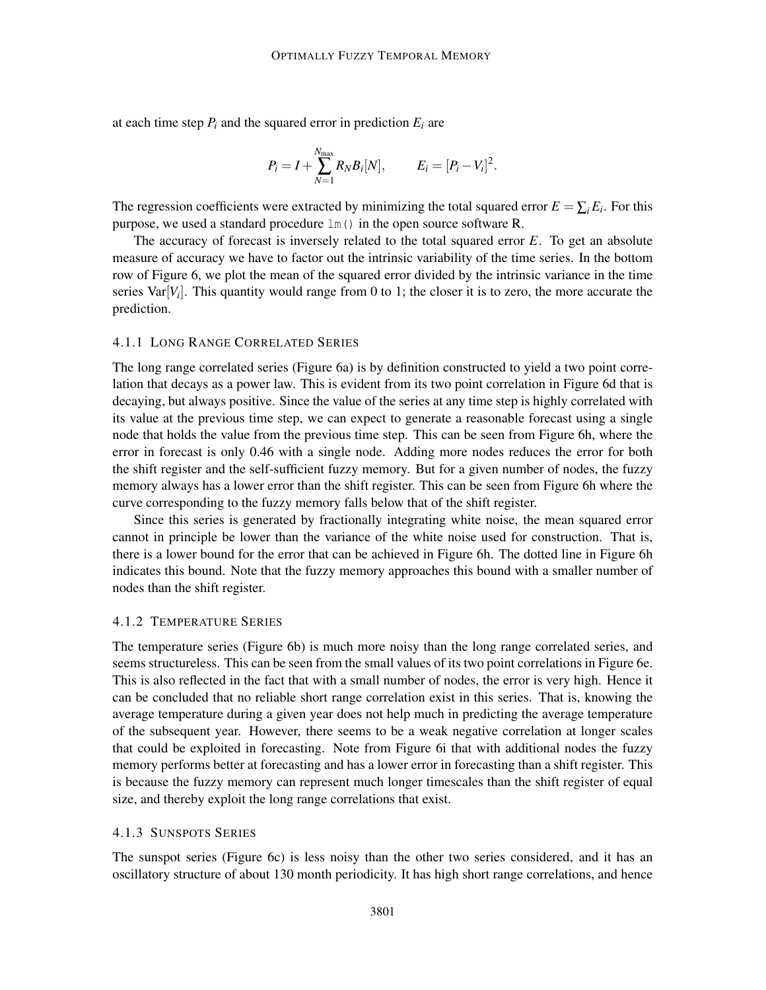at each time step  $P_i$  and the squared error in prediction  $E_i$  are

$$
P_i = I + \sum_{N=1}^{N_{\text{max}}} R_N B_i[N], \qquad E_i = [P_i - V_i]^2.
$$

The regression coefficients were extracted by minimizing the total squared error  $E = \sum_i E_i$ . For this purpose, we used a standard procedure lm() in the open source software R.

The accuracy of forecast is inversely related to the total squared error *E*. To get an absolute measure of accuracy we have to factor out the intrinsic variability of the time series. In the bottom row of Figure 6, we plot the mean of the squared error divided by the intrinsic variance in the time series Var[*V<sup>i</sup>* ]. This quantity would range from 0 to 1; the closer it is to zero, the more accurate the prediction.

#### 4.1.1 LONG RANGE CORRELATED SERIES

The long range correlated series (Figure 6a) is by definition constructed to yield a two point correlation that decays as a power law. This is evident from its two point correlation in Figure 6d that is decaying, but always positive. Since the value of the series at any time step is highly correlated with its value at the previous time step, we can expect to generate a reasonable forecast using a single node that holds the value from the previous time step. This can be seen from Figure 6h, where the error in forecast is only 0.46 with a single node. Adding more nodes reduces the error for both the shift register and the self-sufficient fuzzy memory. But for a given number of nodes, the fuzzy memory always has a lower error than the shift register. This can be seen from Figure 6h where the curve corresponding to the fuzzy memory falls below that of the shift register.

Since this series is generated by fractionally integrating white noise, the mean squared error cannot in principle be lower than the variance of the white noise used for construction. That is, there is a lower bound for the error that can be achieved in Figure 6h. The dotted line in Figure 6h indicates this bound. Note that the fuzzy memory approaches this bound with a smaller number of nodes than the shift register.

#### 4.1.2 TEMPERATURE SERIES

The temperature series (Figure 6b) is much more noisy than the long range correlated series, and seems structureless. This can be seen from the small values of its two point correlations in Figure 6e. This is also reflected in the fact that with a small number of nodes, the error is very high. Hence it can be concluded that no reliable short range correlation exist in this series. That is, knowing the average temperature during a given year does not help much in predicting the average temperature of the subsequent year. However, there seems to be a weak negative correlation at longer scales that could be exploited in forecasting. Note from Figure 6i that with additional nodes the fuzzy memory performs better at forecasting and has a lower error in forecasting than a shift register. This is because the fuzzy memory can represent much longer timescales than the shift register of equal size, and thereby exploit the long range correlations that exist.

#### 4.1.3 SUNSPOTS SERIES

The sunspot series (Figure 6c) is less noisy than the other two series considered, and it has an oscillatory structure of about 130 month periodicity. It has high short range correlations, and hence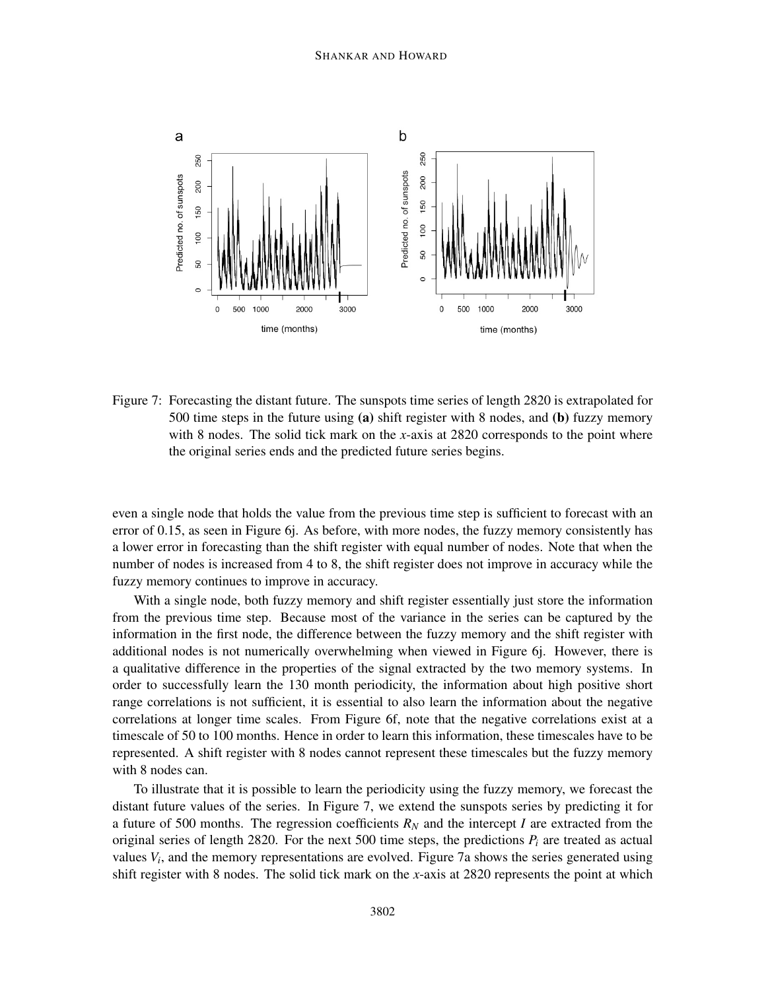

Figure 7: Forecasting the distant future. The sunspots time series of length 2820 is extrapolated for 500 time steps in the future using (a) shift register with 8 nodes, and (b) fuzzy memory with 8 nodes. The solid tick mark on the *x*-axis at 2820 corresponds to the point where the original series ends and the predicted future series begins.

even a single node that holds the value from the previous time step is sufficient to forecast with an error of 0.15, as seen in Figure 6j. As before, with more nodes, the fuzzy memory consistently has a lower error in forecasting than the shift register with equal number of nodes. Note that when the number of nodes is increased from 4 to 8, the shift register does not improve in accuracy while the fuzzy memory continues to improve in accuracy.

With a single node, both fuzzy memory and shift register essentially just store the information from the previous time step. Because most of the variance in the series can be captured by the information in the first node, the difference between the fuzzy memory and the shift register with additional nodes is not numerically overwhelming when viewed in Figure 6j. However, there is a qualitative difference in the properties of the signal extracted by the two memory systems. In order to successfully learn the 130 month periodicity, the information about high positive short range correlations is not sufficient, it is essential to also learn the information about the negative correlations at longer time scales. From Figure 6f, note that the negative correlations exist at a timescale of 50 to 100 months. Hence in order to learn this information, these timescales have to be represented. A shift register with 8 nodes cannot represent these timescales but the fuzzy memory with 8 nodes can.

To illustrate that it is possible to learn the periodicity using the fuzzy memory, we forecast the distant future values of the series. In Figure 7, we extend the sunspots series by predicting it for a future of 500 months. The regression coefficients  $R_N$  and the intercept *I* are extracted from the original series of length 2820. For the next 500 time steps, the predictions  $P_i$  are treated as actual values *V<sup>i</sup>* , and the memory representations are evolved. Figure 7a shows the series generated using shift register with 8 nodes. The solid tick mark on the *x*-axis at 2820 represents the point at which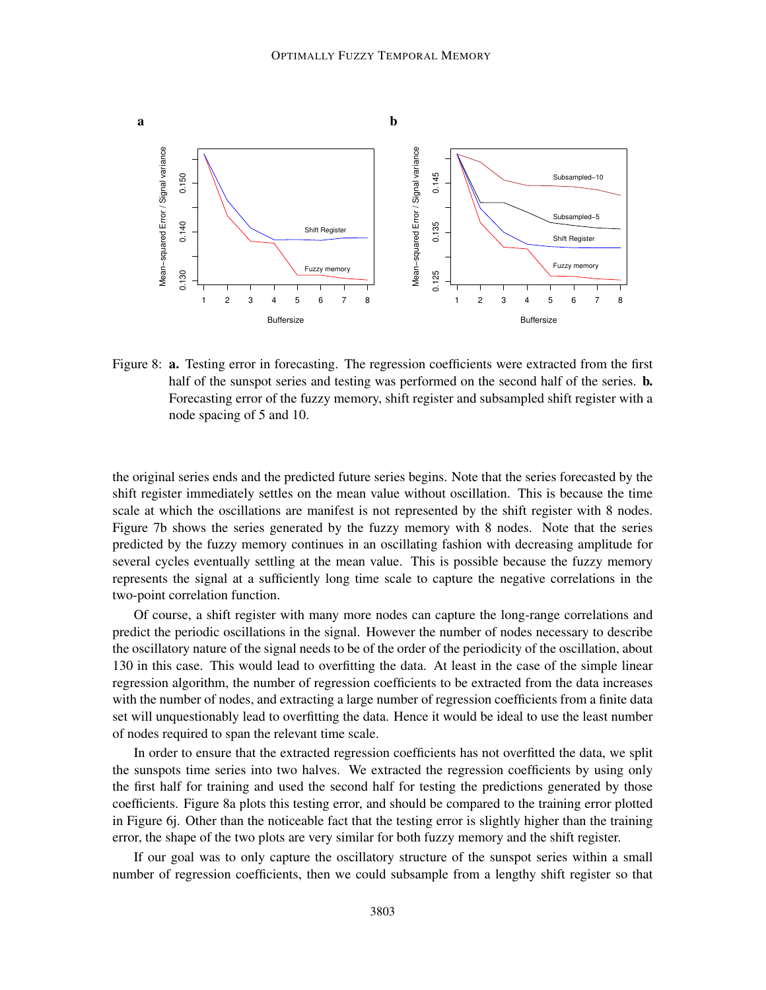

Figure 8: a. Testing error in forecasting. The regression coefficients were extracted from the first half of the sunspot series and testing was performed on the second half of the series. **b.** Forecasting error of the fuzzy memory, shift register and subsampled shift register with a node spacing of 5 and 10.

the original series ends and the predicted future series begins. Note that the series forecasted by the shift register immediately settles on the mean value without oscillation. This is because the time scale at which the oscillations are manifest is not represented by the shift register with 8 nodes. Figure 7b shows the series generated by the fuzzy memory with 8 nodes. Note that the series predicted by the fuzzy memory continues in an oscillating fashion with decreasing amplitude for several cycles eventually settling at the mean value. This is possible because the fuzzy memory represents the signal at a sufficiently long time scale to capture the negative correlations in the two-point correlation function.

Of course, a shift register with many more nodes can capture the long-range correlations and predict the periodic oscillations in the signal. However the number of nodes necessary to describe the oscillatory nature of the signal needs to be of the order of the periodicity of the oscillation, about 130 in this case. This would lead to overfitting the data. At least in the case of the simple linear regression algorithm, the number of regression coefficients to be extracted from the data increases with the number of nodes, and extracting a large number of regression coefficients from a finite data set will unquestionably lead to overfitting the data. Hence it would be ideal to use the least number of nodes required to span the relevant time scale.

In order to ensure that the extracted regression coefficients has not overfitted the data, we split the sunspots time series into two halves. We extracted the regression coefficients by using only the first half for training and used the second half for testing the predictions generated by those coefficients. Figure 8a plots this testing error, and should be compared to the training error plotted in Figure 6j. Other than the noticeable fact that the testing error is slightly higher than the training error, the shape of the two plots are very similar for both fuzzy memory and the shift register.

If our goal was to only capture the oscillatory structure of the sunspot series within a small number of regression coefficients, then we could subsample from a lengthy shift register so that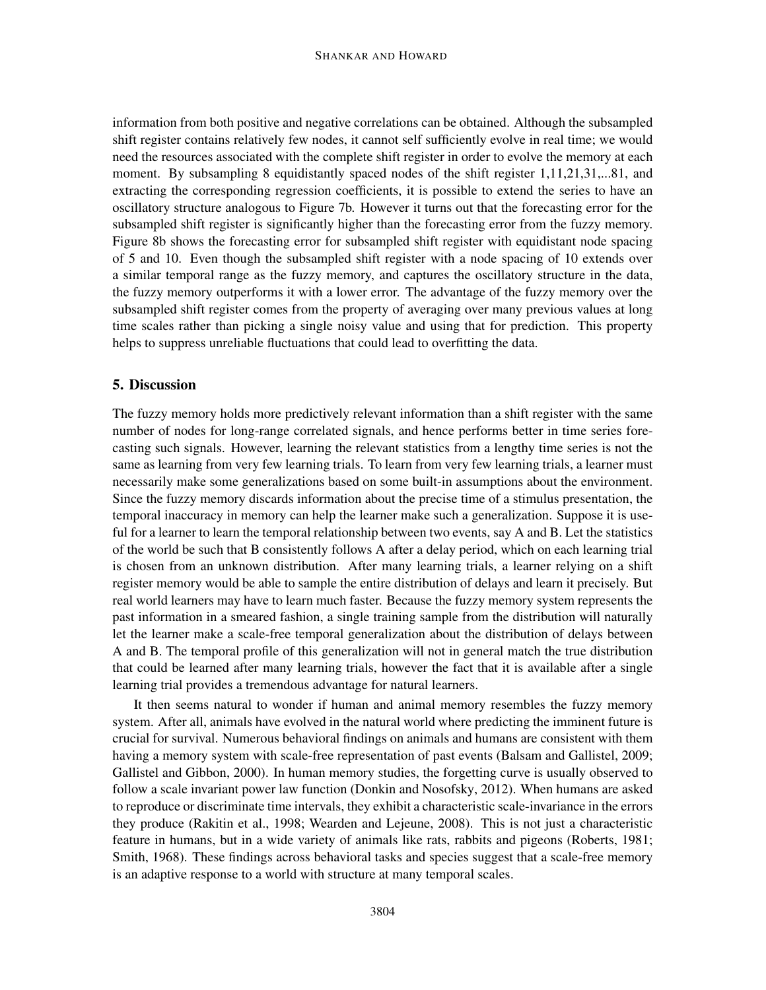information from both positive and negative correlations can be obtained. Although the subsampled shift register contains relatively few nodes, it cannot self sufficiently evolve in real time; we would need the resources associated with the complete shift register in order to evolve the memory at each moment. By subsampling 8 equidistantly spaced nodes of the shift register 1,11,21,31,...81, and extracting the corresponding regression coefficients, it is possible to extend the series to have an oscillatory structure analogous to Figure 7b. However it turns out that the forecasting error for the subsampled shift register is significantly higher than the forecasting error from the fuzzy memory. Figure 8b shows the forecasting error for subsampled shift register with equidistant node spacing of 5 and 10. Even though the subsampled shift register with a node spacing of 10 extends over a similar temporal range as the fuzzy memory, and captures the oscillatory structure in the data, the fuzzy memory outperforms it with a lower error. The advantage of the fuzzy memory over the subsampled shift register comes from the property of averaging over many previous values at long time scales rather than picking a single noisy value and using that for prediction. This property helps to suppress unreliable fluctuations that could lead to overfitting the data.

### 5. Discussion

The fuzzy memory holds more predictively relevant information than a shift register with the same number of nodes for long-range correlated signals, and hence performs better in time series forecasting such signals. However, learning the relevant statistics from a lengthy time series is not the same as learning from very few learning trials. To learn from very few learning trials, a learner must necessarily make some generalizations based on some built-in assumptions about the environment. Since the fuzzy memory discards information about the precise time of a stimulus presentation, the temporal inaccuracy in memory can help the learner make such a generalization. Suppose it is useful for a learner to learn the temporal relationship between two events, say A and B. Let the statistics of the world be such that B consistently follows A after a delay period, which on each learning trial is chosen from an unknown distribution. After many learning trials, a learner relying on a shift register memory would be able to sample the entire distribution of delays and learn it precisely. But real world learners may have to learn much faster. Because the fuzzy memory system represents the past information in a smeared fashion, a single training sample from the distribution will naturally let the learner make a scale-free temporal generalization about the distribution of delays between A and B. The temporal profile of this generalization will not in general match the true distribution that could be learned after many learning trials, however the fact that it is available after a single learning trial provides a tremendous advantage for natural learners.

It then seems natural to wonder if human and animal memory resembles the fuzzy memory system. After all, animals have evolved in the natural world where predicting the imminent future is crucial for survival. Numerous behavioral findings on animals and humans are consistent with them having a memory system with scale-free representation of past events (Balsam and Gallistel, 2009; Gallistel and Gibbon, 2000). In human memory studies, the forgetting curve is usually observed to follow a scale invariant power law function (Donkin and Nosofsky, 2012). When humans are asked to reproduce or discriminate time intervals, they exhibit a characteristic scale-invariance in the errors they produce (Rakitin et al., 1998; Wearden and Lejeune, 2008). This is not just a characteristic feature in humans, but in a wide variety of animals like rats, rabbits and pigeons (Roberts, 1981; Smith, 1968). These findings across behavioral tasks and species suggest that a scale-free memory is an adaptive response to a world with structure at many temporal scales.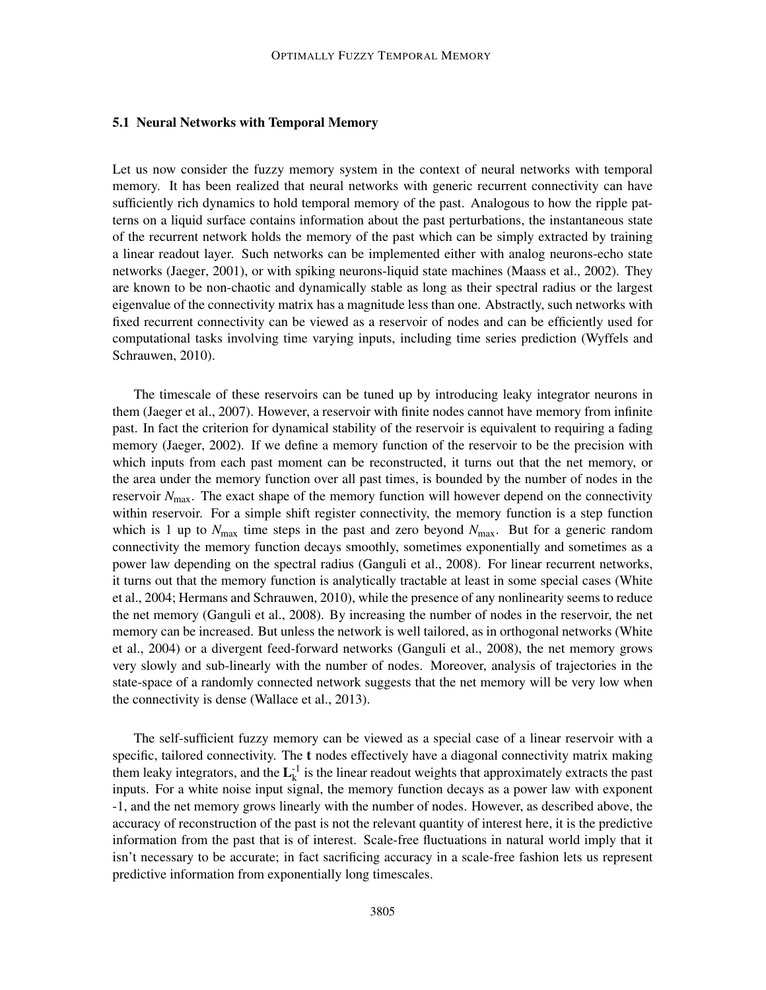#### 5.1 Neural Networks with Temporal Memory

Let us now consider the fuzzy memory system in the context of neural networks with temporal memory. It has been realized that neural networks with generic recurrent connectivity can have sufficiently rich dynamics to hold temporal memory of the past. Analogous to how the ripple patterns on a liquid surface contains information about the past perturbations, the instantaneous state of the recurrent network holds the memory of the past which can be simply extracted by training a linear readout layer. Such networks can be implemented either with analog neurons-echo state networks (Jaeger, 2001), or with spiking neurons-liquid state machines (Maass et al., 2002). They are known to be non-chaotic and dynamically stable as long as their spectral radius or the largest eigenvalue of the connectivity matrix has a magnitude less than one. Abstractly, such networks with fixed recurrent connectivity can be viewed as a reservoir of nodes and can be efficiently used for computational tasks involving time varying inputs, including time series prediction (Wyffels and Schrauwen, 2010).

The timescale of these reservoirs can be tuned up by introducing leaky integrator neurons in them (Jaeger et al., 2007). However, a reservoir with finite nodes cannot have memory from infinite past. In fact the criterion for dynamical stability of the reservoir is equivalent to requiring a fading memory (Jaeger, 2002). If we define a memory function of the reservoir to be the precision with which inputs from each past moment can be reconstructed, it turns out that the net memory, or the area under the memory function over all past times, is bounded by the number of nodes in the reservoir  $N_{\text{max}}$ . The exact shape of the memory function will however depend on the connectivity within reservoir. For a simple shift register connectivity, the memory function is a step function which is 1 up to  $N_{\text{max}}$  time steps in the past and zero beyond  $N_{\text{max}}$ . But for a generic random connectivity the memory function decays smoothly, sometimes exponentially and sometimes as a power law depending on the spectral radius (Ganguli et al., 2008). For linear recurrent networks, it turns out that the memory function is analytically tractable at least in some special cases (White et al., 2004; Hermans and Schrauwen, 2010), while the presence of any nonlinearity seems to reduce the net memory (Ganguli et al., 2008). By increasing the number of nodes in the reservoir, the net memory can be increased. But unless the network is well tailored, as in orthogonal networks (White et al., 2004) or a divergent feed-forward networks (Ganguli et al., 2008), the net memory grows very slowly and sub-linearly with the number of nodes. Moreover, analysis of trajectories in the state-space of a randomly connected network suggests that the net memory will be very low when the connectivity is dense (Wallace et al., 2013).

The self-sufficient fuzzy memory can be viewed as a special case of a linear reservoir with a specific, tailored connectivity. The t nodes effectively have a diagonal connectivity matrix making them leaky integrators, and the  $L_k^{-1}$  is the linear readout weights that approximately extracts the past inputs. For a white noise input signal, the memory function decays as a power law with exponent -1, and the net memory grows linearly with the number of nodes. However, as described above, the accuracy of reconstruction of the past is not the relevant quantity of interest here, it is the predictive information from the past that is of interest. Scale-free fluctuations in natural world imply that it isn't necessary to be accurate; in fact sacrificing accuracy in a scale-free fashion lets us represent predictive information from exponentially long timescales.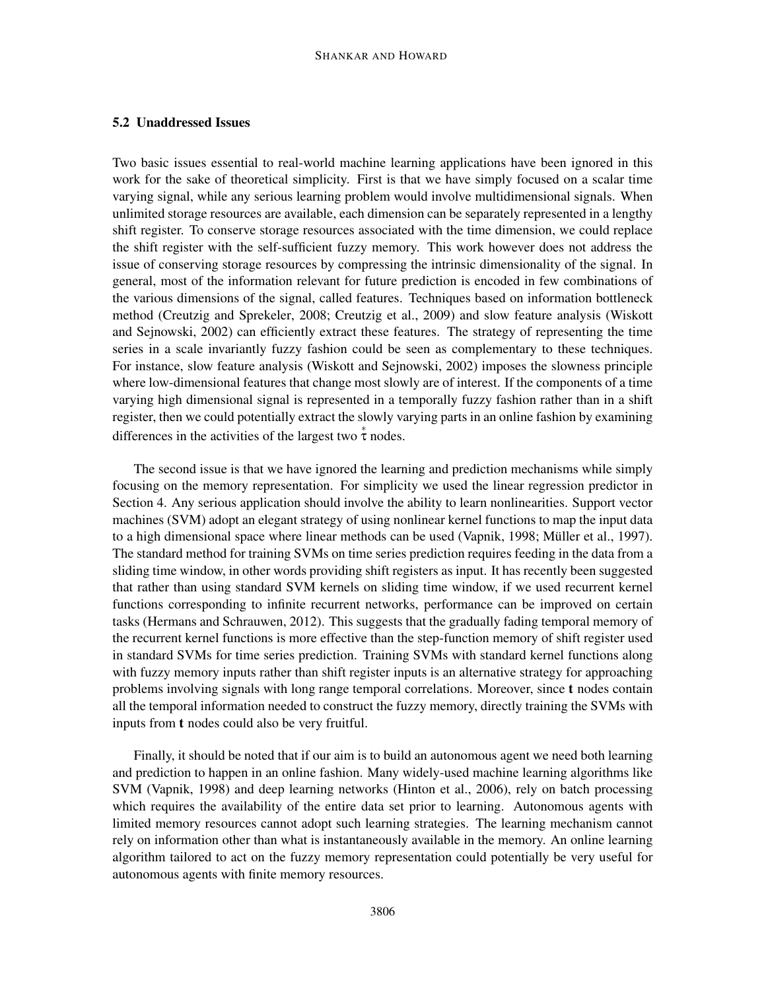## 5.2 Unaddressed Issues

Two basic issues essential to real-world machine learning applications have been ignored in this work for the sake of theoretical simplicity. First is that we have simply focused on a scalar time varying signal, while any serious learning problem would involve multidimensional signals. When unlimited storage resources are available, each dimension can be separately represented in a lengthy shift register. To conserve storage resources associated with the time dimension, we could replace the shift register with the self-sufficient fuzzy memory. This work however does not address the issue of conserving storage resources by compressing the intrinsic dimensionality of the signal. In general, most of the information relevant for future prediction is encoded in few combinations of the various dimensions of the signal, called features. Techniques based on information bottleneck method (Creutzig and Sprekeler, 2008; Creutzig et al., 2009) and slow feature analysis (Wiskott and Sejnowski, 2002) can efficiently extract these features. The strategy of representing the time series in a scale invariantly fuzzy fashion could be seen as complementary to these techniques. For instance, slow feature analysis (Wiskott and Sejnowski, 2002) imposes the slowness principle where low-dimensional features that change most slowly are of interest. If the components of a time varying high dimensional signal is represented in a temporally fuzzy fashion rather than in a shift register, then we could potentially extract the slowly varying parts in an online fashion by examining differences in the activities of the largest two  $\stackrel{*}{\tau}$  nodes.

The second issue is that we have ignored the learning and prediction mechanisms while simply focusing on the memory representation. For simplicity we used the linear regression predictor in Section 4. Any serious application should involve the ability to learn nonlinearities. Support vector machines (SVM) adopt an elegant strategy of using nonlinear kernel functions to map the input data to a high dimensional space where linear methods can be used (Vapnik, 1998; Müller et al., 1997). The standard method for training SVMs on time series prediction requires feeding in the data from a sliding time window, in other words providing shift registers as input. It has recently been suggested that rather than using standard SVM kernels on sliding time window, if we used recurrent kernel functions corresponding to infinite recurrent networks, performance can be improved on certain tasks (Hermans and Schrauwen, 2012). This suggests that the gradually fading temporal memory of the recurrent kernel functions is more effective than the step-function memory of shift register used in standard SVMs for time series prediction. Training SVMs with standard kernel functions along with fuzzy memory inputs rather than shift register inputs is an alternative strategy for approaching problems involving signals with long range temporal correlations. Moreover, since t nodes contain all the temporal information needed to construct the fuzzy memory, directly training the SVMs with inputs from t nodes could also be very fruitful.

Finally, it should be noted that if our aim is to build an autonomous agent we need both learning and prediction to happen in an online fashion. Many widely-used machine learning algorithms like SVM (Vapnik, 1998) and deep learning networks (Hinton et al., 2006), rely on batch processing which requires the availability of the entire data set prior to learning. Autonomous agents with limited memory resources cannot adopt such learning strategies. The learning mechanism cannot rely on information other than what is instantaneously available in the memory. An online learning algorithm tailored to act on the fuzzy memory representation could potentially be very useful for autonomous agents with finite memory resources.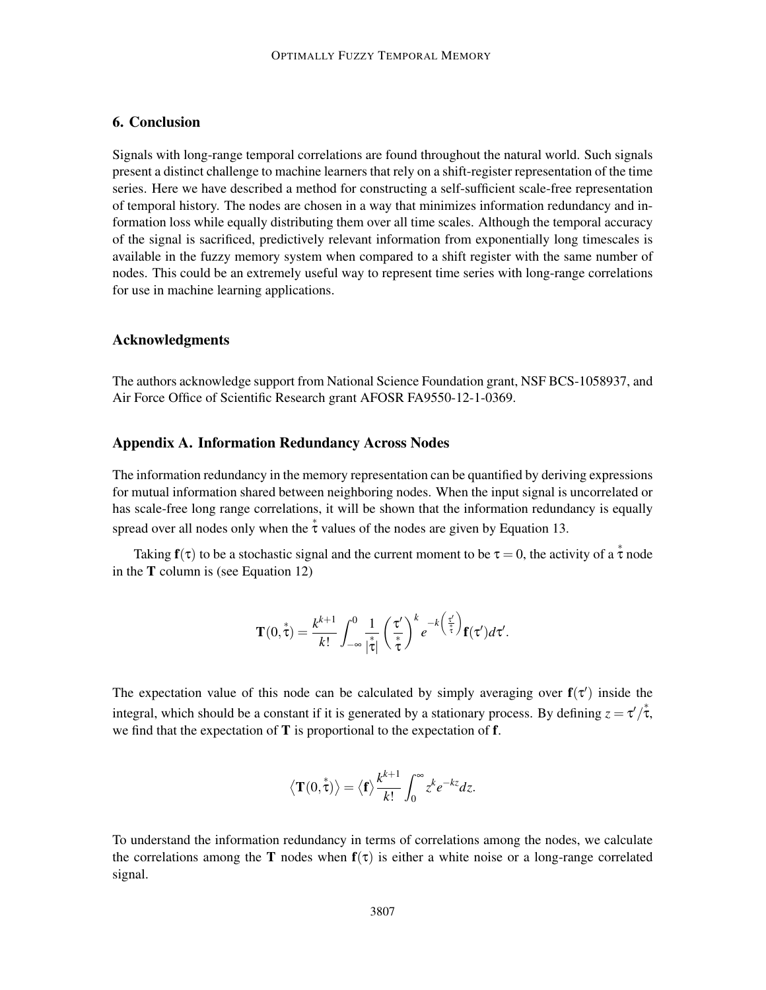## 6. Conclusion

Signals with long-range temporal correlations are found throughout the natural world. Such signals present a distinct challenge to machine learners that rely on a shift-register representation of the time series. Here we have described a method for constructing a self-sufficient scale-free representation of temporal history. The nodes are chosen in a way that minimizes information redundancy and information loss while equally distributing them over all time scales. Although the temporal accuracy of the signal is sacrificed, predictively relevant information from exponentially long timescales is available in the fuzzy memory system when compared to a shift register with the same number of nodes. This could be an extremely useful way to represent time series with long-range correlations for use in machine learning applications.

### Acknowledgments

The authors acknowledge support from National Science Foundation grant, NSF BCS-1058937, and Air Force Office of Scientific Research grant AFOSR FA9550-12-1-0369.

### Appendix A. Information Redundancy Across Nodes

The information redundancy in the memory representation can be quantified by deriving expressions for mutual information shared between neighboring nodes. When the input signal is uncorrelated or has scale-free long range correlations, it will be shown that the information redundancy is equally spread over all nodes only when the  $\stackrel{*}{\tau}$  values of the nodes are given by Equation 13.

Taking  $f(\tau)$  to be a stochastic signal and the current moment to be  $\tau = 0$ , the activity of a  $\stackrel{*}{\tau}$  node in the T column is (see Equation 12)

$$
\mathbf{T}(0,\overset{*}{\tau})=\frac{k^{k+1}}{k!}\int_{-\infty}^{0}\frac{1}{|\overset{*}{\tau}|}\left(\frac{\tau'}{\overset{*}{\tau}}\right)^{k}e^{-k\left(\frac{\tau'}{\overset{*}{\tau}}\right)}\mathbf{f}(\tau')d\tau'.
$$

The expectation value of this node can be calculated by simply averaging over  $f(\tau')$  inside the integral, which should be a constant if it is generated by a stationary process. By defining  $z = \tau'/\tau$ , we find that the expectation of  $T$  is proportional to the expectation of  $f$ .

$$
\langle \mathbf{T}(0, \mathbf{t}^*) \rangle = \langle \mathbf{f} \rangle \frac{k^{k+1}}{k!} \int_0^\infty z^k e^{-kz} dz.
$$

To understand the information redundancy in terms of correlations among the nodes, we calculate the correlations among the T nodes when  $f(\tau)$  is either a white noise or a long-range correlated signal.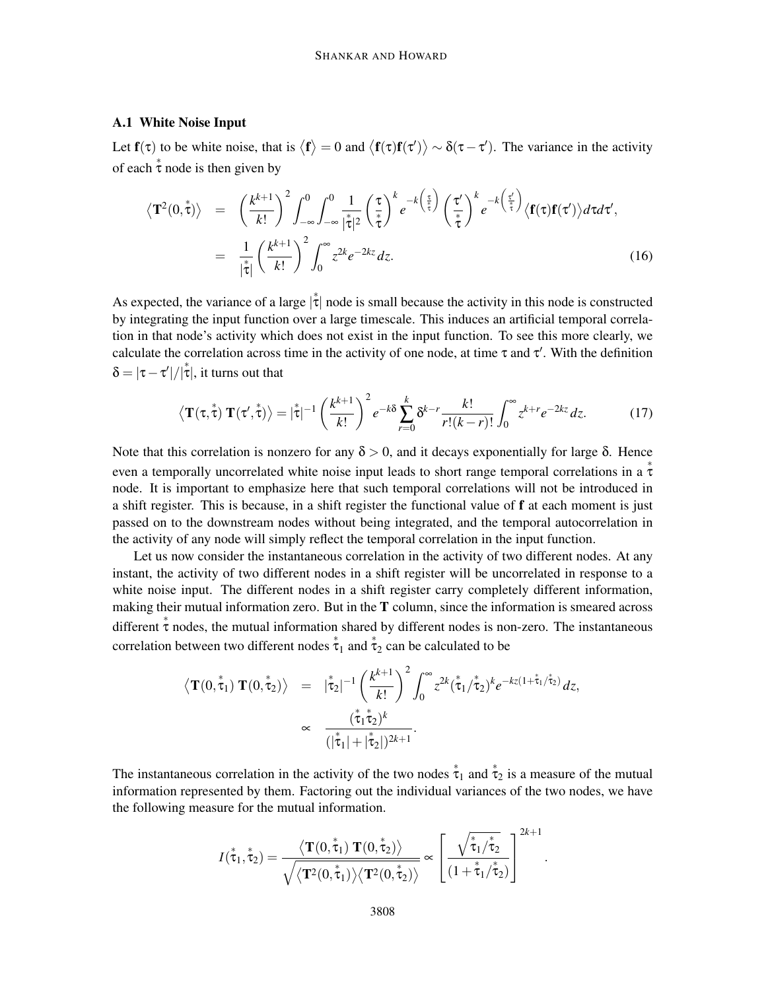#### A.1 White Noise Input

Let  $f(\tau)$  to be white noise, that is  $\langle f \rangle = 0$  and  $\langle f(\tau) f(\tau') \rangle \sim \delta(\tau - \tau')$ . The variance in the activity of each  $\stackrel{*}{\tau}$  node is then given by

$$
\langle \mathbf{T}^{2}(0,\overset{*}{\tau}) \rangle = \left(\frac{k^{k+1}}{k!}\right)^{2} \int_{-\infty}^{0} \int_{-\infty}^{0} \frac{1}{|\overset{*}{\tau}|^{2}} \left(\frac{\tau}{\overset{*}{\tau}}\right)^{k} e^{-k\left(\frac{\tau}{\overset{*}{\tau}}\right)} \left(\frac{\tau'}{\overset{*}{\tau}}\right)^{k} e^{-k\left(\frac{\tau'}{\overset{*}{\tau}}\right)} \langle \mathbf{f}(\tau)\mathbf{f}(\tau') \rangle d\tau d\tau',
$$
\n
$$
= \frac{1}{|\overset{*}{\tau}|} \left(\frac{k^{k+1}}{k!}\right)^{2} \int_{0}^{\infty} z^{2k} e^{-2kz} dz. \tag{16}
$$

As expected, the variance of a large  $|\dot{\tau}|$  node is small because the activity in this node is constructed by integrating the input function over a large timescale. This induces an artificial temporal correlation in that node's activity which does not exist in the input function. To see this more clearly, we calculate the correlation across time in the activity of one node, at time  $\tau$  and  $\tau'$ . With the definition  $\delta = |\tau - \tau'| / |\tau|$ , it turns out that

$$
\left\langle \mathbf{T}(\tau,\overset{*}{\tau}) \mathbf{T}(\tau',\overset{*}{\tau}) \right\rangle = |\overset{*}{\tau}|^{-1} \left(\frac{k^{k+1}}{k!}\right)^2 e^{-k\delta} \sum_{r=0}^k \delta^{k-r} \frac{k!}{r!(k-r)!} \int_0^\infty z^{k+r} e^{-2kz} dz. \tag{17}
$$

Note that this correlation is nonzero for any  $\delta > 0$ , and it decays exponentially for large δ. Hence even a temporally uncorrelated white noise input leads to short range temporal correlations in a  $\stackrel{*}{\tau}$ node. It is important to emphasize here that such temporal correlations will not be introduced in a shift register. This is because, in a shift register the functional value of f at each moment is just passed on to the downstream nodes without being integrated, and the temporal autocorrelation in the activity of any node will simply reflect the temporal correlation in the input function.

Let us now consider the instantaneous correlation in the activity of two different nodes. At any instant, the activity of two different nodes in a shift register will be uncorrelated in response to a white noise input. The different nodes in a shift register carry completely different information, making their mutual information zero. But in the  $T$  column, since the information is smeared across different  $\stackrel{*}{\tau}$  nodes, the mutual information shared by different nodes is non-zero. The instantaneous correlation between two different nodes  $\stackrel{*}{\tau}_1$  and  $\stackrel{*}{\tau}_2$  can be calculated to be

$$
\langle \mathbf{T}(0, \mathbf{\tilde{t}}_1) \mathbf{T}(0, \mathbf{\tilde{t}}_2) \rangle = |\mathbf{\tilde{t}}_2|^{-1} \left( \frac{k^{k+1}}{k!} \right)^2 \int_0^\infty z^{2k} (\mathbf{\tilde{t}}_1 / \mathbf{\tilde{t}}_2)^k e^{-kz(1 + \mathbf{\tilde{t}}_1 / \mathbf{\tilde{t}}_2)} dz,
$$
  
 
$$
\propto \frac{(\mathbf{\tilde{t}}_1 \mathbf{\tilde{t}}_2)^k}{(|\mathbf{\tilde{t}}_1| + |\mathbf{\tilde{t}}_2|)^{2k+1}}.
$$

The instantaneous correlation in the activity of the two nodes  $\dot{\tau}_1$  and  $\dot{\tau}_2$  is a measure of the mutual information represented by them. Factoring out the individual variances of the two nodes, we have the following measure for the mutual information.

$$
I(\overset{*}{\tau}_1, \overset{*}{\tau}_2) = \frac{\langle \mathbf{T}(0, \overset{*}{\tau}_1) \; \mathbf{T}(0, \overset{*}{\tau}_2) \rangle}{\sqrt{\langle \mathbf{T}^2(0, \overset{*}{\tau}_1) \rangle \langle \mathbf{T}^2(0, \overset{*}{\tau}_2) \rangle}} \approx \left[ \frac{\sqrt{\overset{*}{\tau}_1 / \overset{*}{\tau}_2}}{\left(1 + \overset{*}{\tau}_1 / \overset{*}{\tau}_2\right)} \right]^{2k+1}
$$

.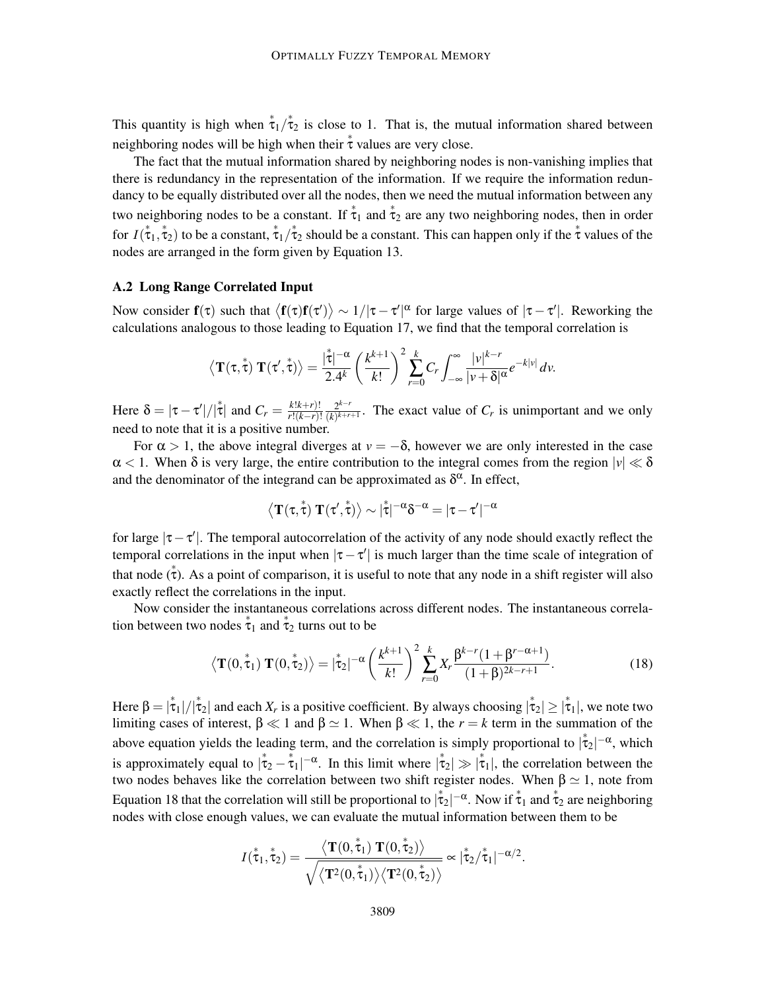This quantity is high when  $\dot{\tau}_1/\dot{\tau}_2$  is close to 1. That is, the mutual information shared between neighboring nodes will be high when their  $\stackrel{*}{\tau}$  values are very close.

The fact that the mutual information shared by neighboring nodes is non-vanishing implies that there is redundancy in the representation of the information. If we require the information redundancy to be equally distributed over all the nodes, then we need the mutual information between any two neighboring nodes to be a constant. If  $\stackrel{*}{\tau}_1$  and  $\stackrel{*}{\tau}_2$  are any two neighboring nodes, then in order for  $I(\tau_1, \tau_2)$  to be a constant,  $\tau_1/\tau_2$  should be a constant. This can happen only if the  $\tau$  values of the nodes are arranged in the form given by Equation 13.

#### A.2 Long Range Correlated Input

Now consider  $f(\tau)$  such that  $\langle f(\tau)f(\tau')\rangle \sim 1/|\tau-\tau'|^{\alpha}$  for large values of  $|\tau-\tau'|$ . Reworking the calculations analogous to those leading to Equation 17, we find that the temporal correlation is

$$
\langle \mathbf{T}(\tau,\overset{*}{\tau}) \mathbf{T}(\tau',\overset{*}{\tau}) \rangle = \frac{|\overset{*}{\tau}|^{-\alpha}}{2.4^k} \left(\frac{k^{k+1}}{k!}\right)^2 \sum_{r=0}^k C_r \int_{-\infty}^{\infty} \frac{|v|^{k-r}}{|v+\delta|^{\alpha}} e^{-k|v|} dv.
$$

Here  $\delta = |\tau - \tau'| / |\tau|$  and  $C_r = \frac{k!k+r)!}{r!(k-r)!}$ *r*!(*k*−*r*)! 2 *k*−*r*  $\frac{2^{k-r}}{(k)^{k+r+1}}$ . The exact value of  $C_r$  is unimportant and we only need to note that it is a positive number.

For  $\alpha > 1$ , the above integral diverges at  $v = -\delta$ , however we are only interested in the case  $\alpha$  < 1. When  $\delta$  is very large, the entire contribution to the integral comes from the region  $|v| \ll \delta$ and the denominator of the integrand can be approximated as  $\delta^{\alpha}$ . In effect,

$$
\left\langle T(\tau,\overset{*}{\tau})\ T(\tau',\overset{*}{\tau})\right\rangle \sim |\overset{*}{\tau}|^{-\alpha}\delta^{-\alpha}=|\tau-\tau'|^{-\alpha}
$$

for large  $|\tau-\tau'|$ . The temporal autocorrelation of the activity of any node should exactly reflect the temporal correlations in the input when  $|\tau - \tau'|$  is much larger than the time scale of integration of that node  $(\tau)$ . As a point of comparison, it is useful to note that any node in a shift register will also exactly reflect the correlations in the input.

Now consider the instantaneous correlations across different nodes. The instantaneous correlation between two nodes  $\stackrel{*}{\tau}_1$  and  $\stackrel{*}{\tau}_2$  turns out to be

$$
\langle \mathbf{T}(0, \mathring{\tau}_1) \mathbf{T}(0, \mathring{\tau}_2) \rangle = |\mathring{\tau}_2|^{-\alpha} \left(\frac{k^{k+1}}{k!}\right)^2 \sum_{r=0}^k X_r \frac{\beta^{k-r} (1 + \beta^{r-\alpha+1})}{(1+\beta)^{2k-r+1}}.
$$
 (18)

Here  $\beta = |\dot{\tau}_1|/|\dot{\tau}_2|$  and each  $X_r$  is a positive coefficient. By always choosing  $|\dot{\tau}_2| \ge |\dot{\tau}_1|$ , we note two limiting cases of interest,  $\beta \ll 1$  and  $\beta \simeq 1$ . When  $\beta \ll 1$ , the  $r = k$  term in the summation of the above equation yields the leading term, and the correlation is simply proportional to  $|\dot{\tau}_2|^{-\alpha}$ , which is approximately equal to  $|\dot{\tau}_2 - \dot{\tau}_1|^{-\alpha}$ . In this limit where  $|\dot{\tau}_2| \gg |\dot{\tau}_1|$ , the correlation between the two nodes behaves like the correlation between two shift register nodes. When  $\beta \simeq 1$ , note from Equation 18 that the correlation will still be proportional to  $|\dot{\tau}_2|^{-\alpha}$ . Now if  $\dot{\tau}_1$  and  $\dot{\tau}_2$  are neighboring nodes with close enough values, we can evaluate the mutual information between them to be

$$
I(\overset{*}{\tau}_1, \overset{*}{\tau}_2) = \frac{\langle \mathbf{T}(0, \overset{*}{\tau}_1) \mathbf{T}(0, \overset{*}{\tau}_2) \rangle}{\sqrt{\langle \mathbf{T}^2(0, \overset{*}{\tau}_1) \rangle \langle \mathbf{T}^2(0, \overset{*}{\tau}_2) \rangle}} \approx |\overset{*}{\tau}_2 / \overset{*}{\tau}_1|^{-\alpha/2}.
$$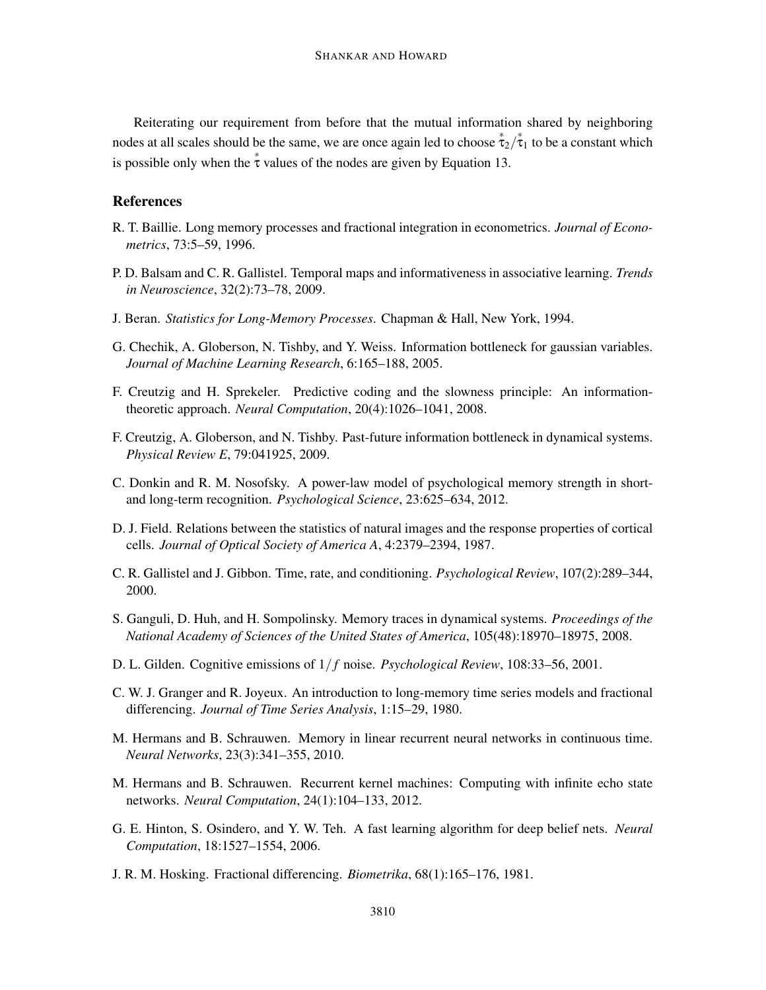Reiterating our requirement from before that the mutual information shared by neighboring nodes at all scales should be the same, we are once again led to choose  $\dot{\tau}_2/\dot{\tau}_1$  to be a constant which is possible only when the  $\stackrel{*}{\tau}$  values of the nodes are given by Equation 13.

### References

- R. T. Baillie. Long memory processes and fractional integration in econometrics. *Journal of Econometrics*, 73:5–59, 1996.
- P. D. Balsam and C. R. Gallistel. Temporal maps and informativeness in associative learning. *Trends in Neuroscience*, 32(2):73–78, 2009.
- J. Beran. *Statistics for Long-Memory Processes*. Chapman & Hall, New York, 1994.
- G. Chechik, A. Globerson, N. Tishby, and Y. Weiss. Information bottleneck for gaussian variables. *Journal of Machine Learning Research*, 6:165–188, 2005.
- F. Creutzig and H. Sprekeler. Predictive coding and the slowness principle: An informationtheoretic approach. *Neural Computation*, 20(4):1026–1041, 2008.
- F. Creutzig, A. Globerson, and N. Tishby. Past-future information bottleneck in dynamical systems. *Physical Review E*, 79:041925, 2009.
- C. Donkin and R. M. Nosofsky. A power-law model of psychological memory strength in shortand long-term recognition. *Psychological Science*, 23:625–634, 2012.
- D. J. Field. Relations between the statistics of natural images and the response properties of cortical cells. *Journal of Optical Society of America A*, 4:2379–2394, 1987.
- C. R. Gallistel and J. Gibbon. Time, rate, and conditioning. *Psychological Review*, 107(2):289–344, 2000.
- S. Ganguli, D. Huh, and H. Sompolinsky. Memory traces in dynamical systems. *Proceedings of the National Academy of Sciences of the United States of America*, 105(48):18970–18975, 2008.
- D. L. Gilden. Cognitive emissions of 1/ *f* noise. *Psychological Review*, 108:33–56, 2001.
- C. W. J. Granger and R. Joyeux. An introduction to long-memory time series models and fractional differencing. *Journal of Time Series Analysis*, 1:15–29, 1980.
- M. Hermans and B. Schrauwen. Memory in linear recurrent neural networks in continuous time. *Neural Networks*, 23(3):341–355, 2010.
- M. Hermans and B. Schrauwen. Recurrent kernel machines: Computing with infinite echo state networks. *Neural Computation*, 24(1):104–133, 2012.
- G. E. Hinton, S. Osindero, and Y. W. Teh. A fast learning algorithm for deep belief nets. *Neural Computation*, 18:1527–1554, 2006.
- J. R. M. Hosking. Fractional differencing. *Biometrika*, 68(1):165–176, 1981.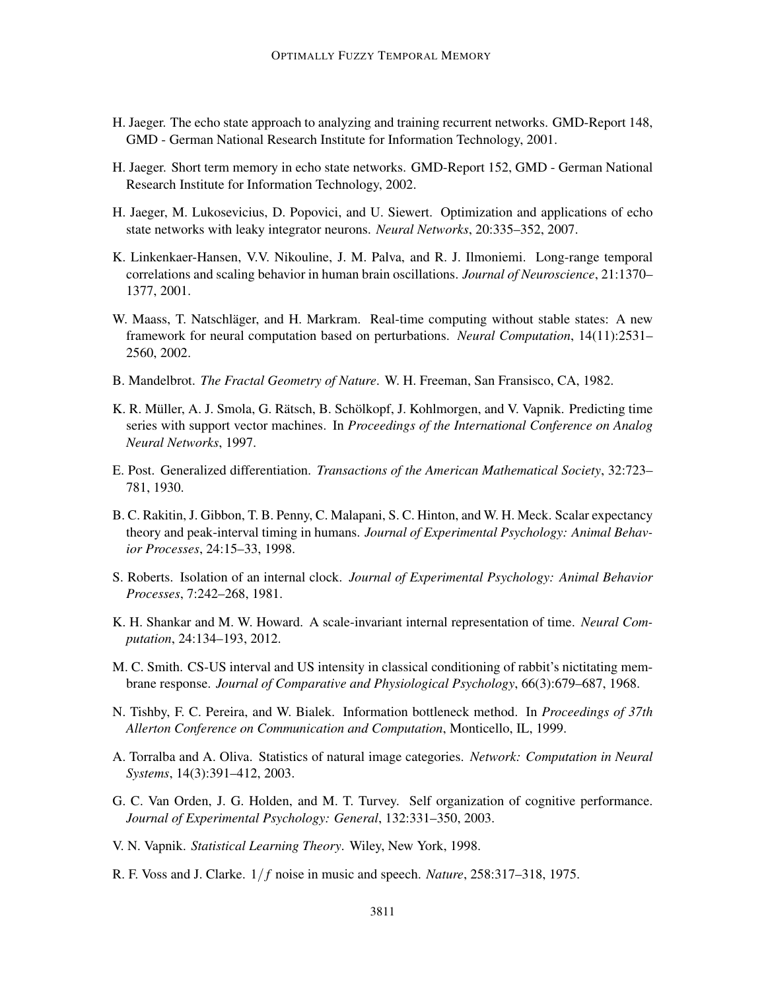- H. Jaeger. The echo state approach to analyzing and training recurrent networks. GMD-Report 148, GMD - German National Research Institute for Information Technology, 2001.
- H. Jaeger. Short term memory in echo state networks. GMD-Report 152, GMD German National Research Institute for Information Technology, 2002.
- H. Jaeger, M. Lukosevicius, D. Popovici, and U. Siewert. Optimization and applications of echo state networks with leaky integrator neurons. *Neural Networks*, 20:335–352, 2007.
- K. Linkenkaer-Hansen, V.V. Nikouline, J. M. Palva, and R. J. Ilmoniemi. Long-range temporal correlations and scaling behavior in human brain oscillations. *Journal of Neuroscience*, 21:1370– 1377, 2001.
- W. Maass, T. Natschläger, and H. Markram. Real-time computing without stable states: A new framework for neural computation based on perturbations. *Neural Computation*, 14(11):2531– 2560, 2002.
- B. Mandelbrot. *The Fractal Geometry of Nature*. W. H. Freeman, San Fransisco, CA, 1982.
- K. R. Müller, A. J. Smola, G. Rätsch, B. Schölkopf, J. Kohlmorgen, and V. Vapnik. Predicting time series with support vector machines. In *Proceedings of the International Conference on Analog Neural Networks*, 1997.
- E. Post. Generalized differentiation. *Transactions of the American Mathematical Society*, 32:723– 781, 1930.
- B. C. Rakitin, J. Gibbon, T. B. Penny, C. Malapani, S. C. Hinton, and W. H. Meck. Scalar expectancy theory and peak-interval timing in humans. *Journal of Experimental Psychology: Animal Behavior Processes*, 24:15–33, 1998.
- S. Roberts. Isolation of an internal clock. *Journal of Experimental Psychology: Animal Behavior Processes*, 7:242–268, 1981.
- K. H. Shankar and M. W. Howard. A scale-invariant internal representation of time. *Neural Computation*, 24:134–193, 2012.
- M. C. Smith. CS-US interval and US intensity in classical conditioning of rabbit's nictitating membrane response. *Journal of Comparative and Physiological Psychology*, 66(3):679–687, 1968.
- N. Tishby, F. C. Pereira, and W. Bialek. Information bottleneck method. In *Proceedings of 37th Allerton Conference on Communication and Computation*, Monticello, IL, 1999.
- A. Torralba and A. Oliva. Statistics of natural image categories. *Network: Computation in Neural Systems*, 14(3):391–412, 2003.
- G. C. Van Orden, J. G. Holden, and M. T. Turvey. Self organization of cognitive performance. *Journal of Experimental Psychology: General*, 132:331–350, 2003.
- V. N. Vapnik. *Statistical Learning Theory*. Wiley, New York, 1998.
- R. F. Voss and J. Clarke. 1/ *f* noise in music and speech. *Nature*, 258:317–318, 1975.